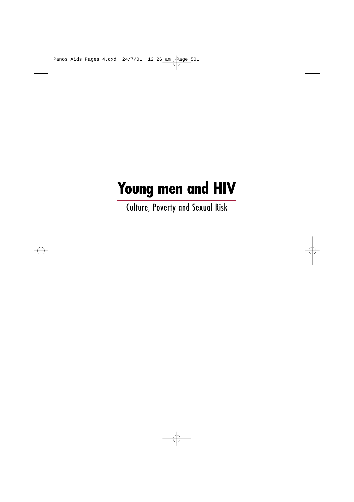# **Young men and HIV**

Culture, Poverty and Sexual Risk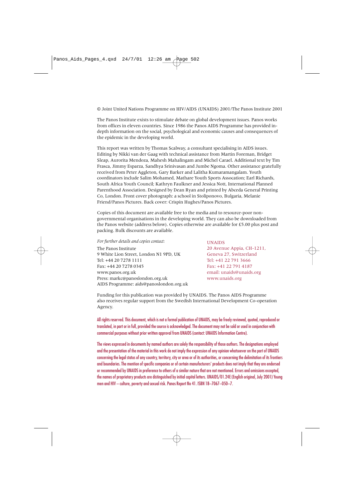© Joint United Nations Programme on HIV/AIDS (UNAIDS) 2001/The Panos Institute 2001

The Panos Institute exists to stimulate debate on global development issues. Panos works from offices in eleven countries. Since 1986 the Panos AIDS Programme has provided indepth information on the social, psychological and economic causes and consequences of the epidemic in the developing world.

This report was written by Thomas Scalway, a consultant specialising in AIDS issues. Editing by Nikki van der Gaag with technical assistance from Martin Foreman, Bridget Sleap, Aurorita Mendoza, Mahesh Mahalingam and Michel Carael. Additional text by Tim Frasca, Jimmy Esparza, Sandhya Srinivasan and Jumbe Ngoma. Other assistance gratefully received from Peter Aggleton, Gary Barker and Lalitha Kumaramangalam. Youth coordinators include Salim Mohamed, Mathare Youth Sports Assocation; Earl Richards, South Africa Youth Council; Kathryn Faulkner and Jessica Nott, International Planned Parenthood Association. Designed by Dean Ryan and printed by Abceda General Printing Co, London. Front cover photograph: a school in Stoliponovo, Bulgaria, Melanie Friend/Panos Pictures. Back cover: Crispin Hughes/Panos Pictures.

Copies of this document are available free to the media and to resource-poor nongovernmental organisations in the developing world. They can also be downloaded from the Panos website (address below). Copies otherwise are available for £5.00 plus post and packing. Bulk discounts are available.

#### *For further details and copies contact:*

The Panos Institute 9 White Lion Street, London N1 9PD, UK Tel: +44 20 7278 1111 Fax: +44 20 7278 0345 www.panos.org.uk Press: markc@panoslondon.org.uk AIDS Programme: aids@panoslondon.org.uk

UNAIDS 20 Avenue Appia, CH-1211, Geneva 27, Switzerland Tel: +41 22 791 3666 Fax: +41 22 791 4187 email: unaids@unaids.org www.unaids.org

Funding for this publication was provided by UNAIDS. The Panos AIDS Programme also receives regular support from the Swedish International Development Co-operation Agency.

All rights reserved. This document, which is not a formal publication of UNAIDS, may be freely reviewed, quoted, reproduced or translated, in part or in full, provided the source is acknowledged. The document may not be sold or used in conjunction with commercial purposes without prior written approval from UNAIDS (contact: UNAIDS Information Centre).

The views expressed in documents by named authors are solely the responsibility of those authors. The designations employed and the presentation of the material in this work do not imply the expression of any opinion whatsoever on the part of UNAIDS concerning the legal status of any country, territory, city or area or of its authorities, or concerning the delimitation of its frontiers and boundaries. The mention of specific companies or of certain manufacturers' products does not imply that they are endorsed or recommended by UNAIDS in preference to others of a similar nature that are not mentioned. Errors and omissions excepted, the names of proprietary products are distinguished by initial capital letters. UNAIDS/01.24E (English original, July 2001) Young men and HIV – culture, poverty and sexual risk. Panos Report No 41. ISBN 18–7067–050–7.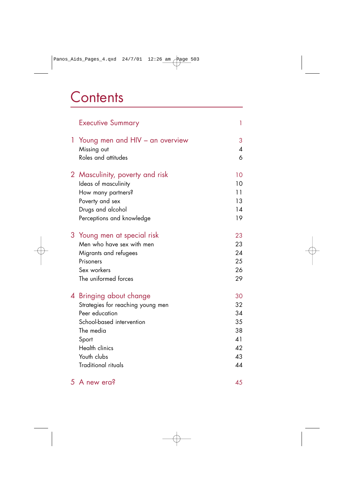# **Contents**

| <b>Executive Summary</b>                                                                                                                                                                         | 1                                                  |
|--------------------------------------------------------------------------------------------------------------------------------------------------------------------------------------------------|----------------------------------------------------|
| 1 Young men and HIV – an overview<br>Missing out<br>Roles and attitudes                                                                                                                          | 3<br>$\overline{\mathcal{A}}$<br>6                 |
| 2 Masculinity, poverty and risk<br>Ideas of masculinity<br>How many partners?<br>Poverty and sex<br>Drugs and alcohol<br>Perceptions and knowledge                                               | 10<br>10<br>11<br>13<br>14<br>19                   |
| 3 Young men at special risk<br>Men who have sex with men<br>Migrants and refugees<br>Prisoners<br>Sex workers<br>The uniformed forces                                                            | 23<br>23<br>24<br>25<br>26<br>29                   |
| 4 Bringing about change<br>Strategies for reaching young men<br>Peer education<br>School-based intervention<br>The media<br>Sport<br>Health clinics<br>Youth clubs<br><b>Traditional rituals</b> | 30<br>32<br>34<br>35<br>38<br>41<br>42<br>43<br>44 |
|                                                                                                                                                                                                  |                                                    |

## 5 A new era? 45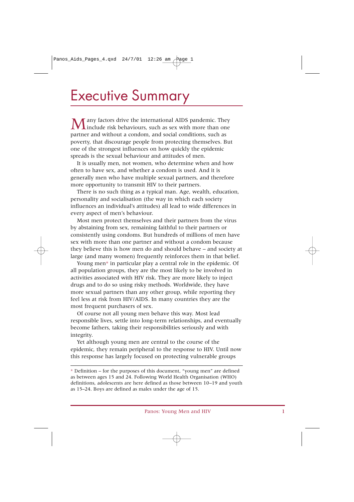# Executive Summary

I any factors drive the international AIDS pandemic. They Include risk behaviours, such as sex with more than one partner and without a condom, and social conditions, such as poverty, that discourage people from protecting themselves. But one of the strongest influences on how quickly the epidemic spreads is the sexual behaviour and attitudes of men.

It is usually men, not women, who determine when and how often to have sex, and whether a condom is used. And it is generally men who have multiple sexual partners, and therefore more opportunity to transmit HIV to their partners.

There is no such thing as a typical man. Age, wealth, education, personality and socialisation (the way in which each society influences an individual's attitudes) all lead to wide differences in every aspect of men's behaviour.

Most men protect themselves and their partners from the virus by abstaining from sex, remaining faithful to their partners or consistently using condoms. But hundreds of millions of men have sex with more than one partner and without a condom because they believe this is how men do and should behave – and society at large (and many women) frequently reinforces them in that belief.

Young men\* in particular play a central role in the epidemic. Of all population groups, they are the most likely to be involved in activities associated with HIV risk. They are more likely to inject drugs and to do so using risky methods. Worldwide, they have more sexual partners than any other group, while reporting they feel less at risk from HIV/AIDS. In many countries they are the most frequent purchasers of sex.

Of course not all young men behave this way. Most lead responsible lives, settle into long-term relationships, and eventually become fathers, taking their responsibilities seriously and with integrity.

Yet although young men are central to the course of the epidemic, they remain peripheral to the response to HIV. Until now this response has largely focused on protecting vulnerable groups

<sup>\*</sup> Definition – for the purposes of this document, "young men" are defined as between ages 15 and 24. Following World Health Organisation (WHO) definitions, adolescents are here defined as those between 10–19 and youth as 15–24. Boys are defined as males under the age of 15.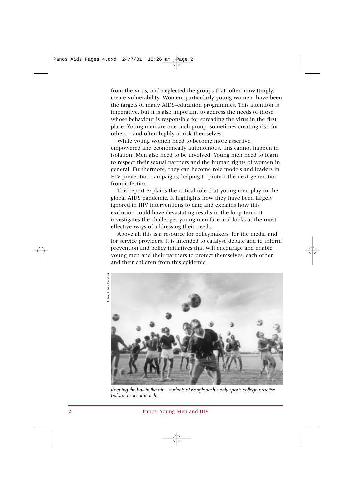from the virus, and neglected the groups that, often unwittingly, create vulnerability. Women, particularly young women, have been the targets of many AIDS-education programmes. This attention is imperative, but it is also important to address the needs of those whose behaviour is responsible for spreading the virus in the first place. Young men are one such group, sometimes creating risk for others **–** and often highly at risk themselves.

While young women need to become more assertive, empowered and economically autonomous, this cannot happen in isolation. Men also need to be involved. Young men need to learn to respect their sexual partners and the human rights of women in general. Furthermore, they can become role models and leaders in HIV-prevention campaigns, helping to protect the next generation from infection.

This report explains the critical role that young men play in the global AIDS pandemic. It highlights how they have been largely ignored in HIV interventions to date and explains how this exclusion could have devastating results in the long-term. It investigates the challenges young men face and looks at the most effective ways of addressing their needs.

Above all this is a resource for policymakers, for the media and for service providers. It is intended to catalyse debate and to inform prevention and policy initiatives that will encourage and enable young men and their partners to protect themselves, each other and their children from this epidemic.



*Keeping the ball in the air – students at Bangladesh's only sports college practise before a soccer match.*

Azizur Rahim Peu/Drik Azizur Rahim Peu/Drik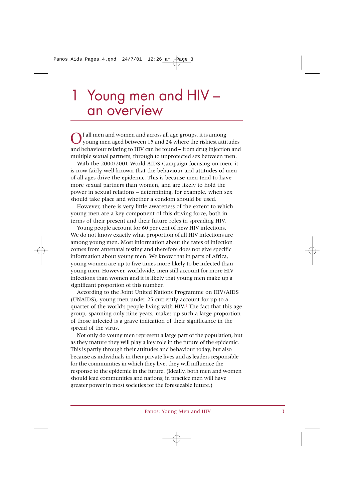## 1 Young men and HIV – an overview

Of all men and women and across all age groups, it is among young men aged between 15 and 24 where the riskiest attitudes and behaviour relating to HIV can be found **–** from drug injection and multiple sexual partners, through to unprotected sex between men.

With the 2000/2001 World AIDS Campaign focusing on men, it is now fairly well known that the behaviour and attitudes of men of all ages drive the epidemic. This is because men tend to have more sexual partners than women, and are likely to hold the power in sexual relations – determining, for example, when sex should take place and whether a condom should be used.

However, there is very little awareness of the extent to which young men are a key component of this driving force, both in terms of their present and their future roles in spreading HIV.

Young people account for 60 per cent of new HIV infections. We do not know exactly what proportion of all HIV infections are among young men. Most information about the rates of infection comes from antenatal testing and therefore does not give specific information about young men. We know that in parts of Africa, young women are up to five times more likely to be infected than young men. However, worldwide, men still account for more HIV infections than women and it is likely that young men make up a significant proportion of this number.

According to the Joint United Nations Programme on HIV/AIDS (UNAIDS), young men under 25 currently account for up to a quarter of the world's people living with  $HIV<sup>1</sup>$ . The fact that this age group, spanning only nine years, makes up such a large proportion of those infected is a grave indication of their significance in the spread of the virus.

Not only do young men represent a large part of the population, but as they mature they will play a key role in the future of the epidemic. This is partly through their attitudes and behaviour today, but also because as individuals in their private lives and as leaders responsible for the communities in which they live, they will influence the response to the epidemic in the future. (Ideally, both men and women should lead communities and nations; in practice men will have greater power in most societies for the foreseeable future.)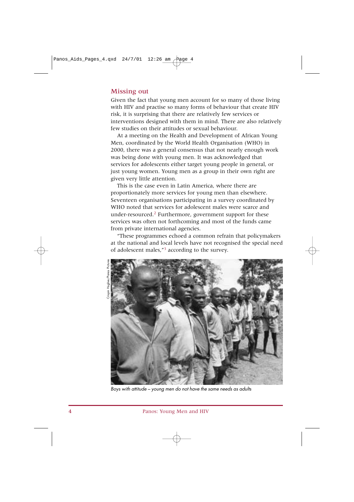#### Missing out

Given the fact that young men account for so many of those living with HIV and practise so many forms of behaviour that create HIV risk, it is surprising that there are relatively few services or interventions designed with them in mind. There are also relatively few studies on their attitudes or sexual behaviour.

At a meeting on the Health and Development of African Young Men, coordinated by the World Health Organisation (WHO) in 2000, there was a general consensus that not nearly enough work was being done with young men. It was acknowledged that services for adolescents either target young people in general, or just young women. Young men as a group in their own right are given very little attention.

This is the case even in Latin America, where there are proportionately more services for young men than elsewhere. Seventeen organisations participating in a survey coordinated by WHO noted that services for adolescent males were scarce and under-resourced.2 Furthermore, government support for these services was often not forthcoming and most of the funds came from private international agencies.

"These programmes echoed a common refrain that policymakers at the national and local levels have not recognised the special need of adolescent males,"3 according to the survey.



*Boys with attitude – young men do not have the same needs as adults*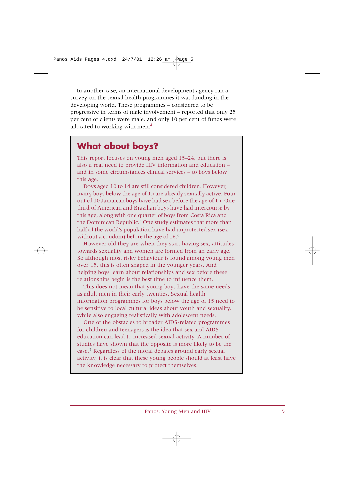In another case, an international development agency ran a survey on the sexual health programmes it was funding in the developing world. These programmes – considered to be progressive in terms of male involvement – reported that only 25 per cent of clients were male, and only 10 per cent of funds were allocated to working with men.4

## **What about boys?**

This report focuses on young men aged 15–24, but there is also a real need to provide HIV information and education **–** and in some circumstances clinical services **–** to boys below this age.

Boys aged 10 to 14 are still considered children. However, many boys below the age of 15 are already sexually active. Four out of 10 Jamaican boys have had sex before the age of 15. One third of American and Brazilian boys have had intercourse by this age, along with one quarter of boys from Costa Rica and the Dominican Republic.<sup>5</sup> One study estimates that more than half of the world's population have had unprotected sex (sex without a condom) before the age of 16.<sup>6</sup>

However old they are when they start having sex, attitudes towards sexuality and women are formed from an early age. So although most risky behaviour is found among young men over 15, this is often shaped in the younger years. And helping boys learn about relationships and sex before these relationships begin is the best time to influence them.

This does not mean that young boys have the same needs as adult men in their early twenties. Sexual health information programmes for boys below the age of 15 need to be sensitive to local cultural ideas about youth and sexuality, while also engaging realistically with adolescent needs.

One of the obstacles to broader AIDS-related programmes for children and teenagers is the idea that sex and AIDS education can lead to increased sexual activity. A number of studies have shown that the opposite is more likely to be the case.7 Regardless of the moral debates around early sexual activity, it is clear that these young people should at least have the knowledge necessary to protect themselves.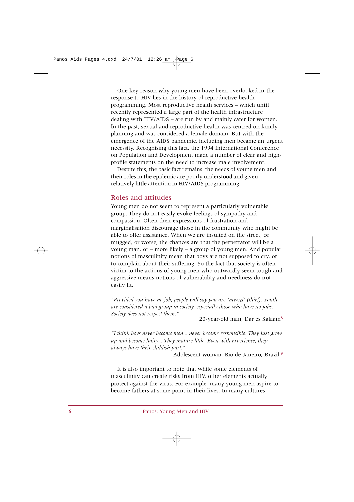One key reason why young men have been overlooked in the response to HIV lies in the history of reproductive health programming. Most reproductive health services – which until recently represented a large part of the health infrastructure dealing with HIV/AIDS – are run by and mainly cater for women. In the past, sexual and reproductive health was centred on family planning and was considered a female domain. But with the emergence of the AIDS pandemic, including men became an urgent necessity. Recognising this fact, the 1994 International Conference on Population and Development made a number of clear and highprofile statements on the need to increase male involvement.

Despite this, the basic fact remains: the needs of young men and their roles in the epidemic are poorly understood and given relatively little attention in HIV/AIDS programming.

### Roles and attitudes

Young men do not seem to represent a particularly vulnerable group. They do not easily evoke feelings of sympathy and compassion. Often their expressions of frustration and marginalisation discourage those in the community who might be able to offer assistance. When we are insulted on the street, or mugged, or worse, the chances are that the perpetrator will be a young man, or – more likely – a group of young men. And popular notions of masculinity mean that boys are not supposed to cry, or to complain about their suffering. So the fact that society is often victim to the actions of young men who outwardly seem tough and aggressive means notions of vulnerability and neediness do not easily fit.

*"Provided you have no job, people will say you are 'mwezi' (thief). Youth are considered a bad group in society, especially those who have no jobs. Society does not respect them."*

20-year-old man, Dar es Salaam<sup>8</sup>

*"I think boys never become men... never become responsible. They just grow up and become hairy... They mature little. Even with experience, they always have their childish part."*

Adolescent woman, Rio de Janeiro, Brazil.9

It is also important to note that while some elements of masculinity can create risks from HIV, other elements actually protect against the virus. For example, many young men aspire to become fathers at some point in their lives. In many cultures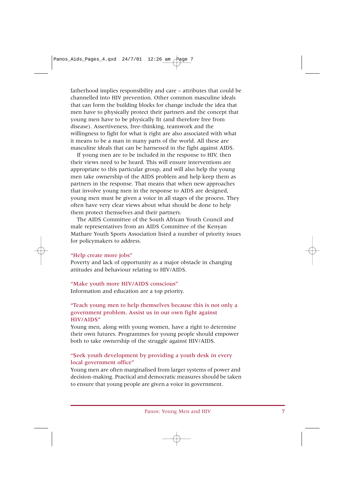fatherhood implies responsibility and care – attributes that could be channelled into HIV prevention. Other common masculine ideals that can form the building blocks for change include the idea that men have to physically protect their partners and the concept that young men have to be physically fit (and therefore free from disease). Assertiveness, free-thinking, teamwork and the willingness to fight for what is right are also associated with what it means to be a man in many parts of the world. All these are masculine ideals that can be harnessed in the fight against AIDS.

If young men are to be included in the response to HIV, then their views need to be heard. This will ensure interventions are appropriate to this particular group, and will also help the young men take ownership of the AIDS problem and help keep them as partners in the response. That means that when new approaches that involve young men in the response to AIDS are designed, young men must be given a voice in all stages of the process. They often have very clear views about what should be done to help them protect themselves and their partners.

The AIDS Committee of the South African Youth Council and male representatives from an AIDS Committee of the Kenyan Mathare Youth Sports Association listed a number of priority issues for policymakers to address.

#### "Help create more jobs"

Poverty and lack of opportunity as a major obstacle in changing attitudes and behaviour relating to HIV/AIDS.

#### "Make youth more HIV/AIDS conscious"

Information and education are a top priority.

#### "Teach young men to help themselves because this is not only a government problem. Assist us in our own fight against HIV/AIDS"

Young men, along with young women, have a right to determine their own futures. Programmes for young people should empower both to take ownership of the struggle against HIV/AIDS.

## "Seek youth development by providing a youth desk in every local government office"

Young men are often marginalised from larger systems of power and decision-making. Practical and democratic measures should be taken to ensure that young people are given a voice in government.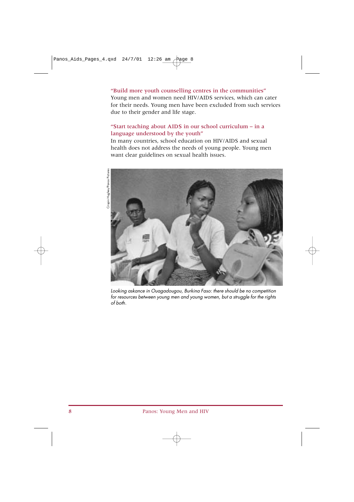#### "Build more youth counselling centres in the communities"

Young men and women need HIV/AIDS services, which can cater for their needs. Young men have been excluded from such services due to their gender and life stage.

#### "Start teaching about AIDS in our school curriculum – in a language understood by the youth"

In many countries, school education on HIV/AIDS and sexual health does not address the needs of young people. Young men want clear guidelines on sexual health issues.





*Looking askance in Ouagadougou, Burkina Faso: there should be no competition for resources between young men and young women, but a struggle for the rights of both.*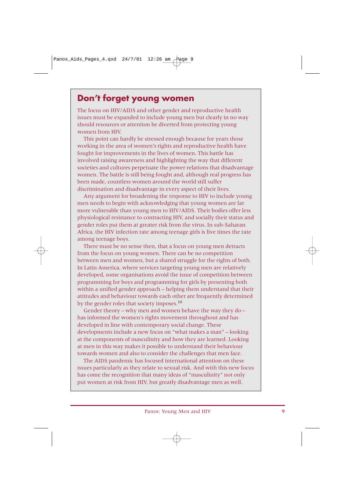## **Don't forget young women**

The focus on HIV/AIDS and other gender and reproductive health issues must be expanded to include young men but clearly in no way should resources or attention be diverted from protecting young women from HIV.

This point can hardly be stressed enough because for years those working in the area of women's rights and reproductive health have fought for improvements in the lives of women. This battle has involved raising awareness and highlighting the way that different societies and cultures perpetuate the power relations that disadvantage women. The battle is still being fought and, although real progress has been made, countless women around the world still suffer discrimination and disadvantage in every aspect of their lives.

Any argument for broadening the response to HIV to include young men needs to begin with acknowledging that young women are far more vulnerable than young men to HIV/AIDS. Their bodies offer less physiological resistance to contracting HIV, and socially their status and gender roles put them at greater risk from the virus. In sub-Saharan Africa, the HIV infection rate among teenage girls is five times the rate among teenage boys*.*

There must be no sense then, that a focus on young men detracts from the focus on young women. There can be no competition between men and women, but a shared struggle for the rights of both. In Latin America, where services targeting young men are relatively developed, some organisations avoid the issue of competition between programming for boys and programming for girls by presenting both within a unified gender approach – helping them understand that their attitudes and behaviour towards each other are frequently determined by the gender roles that society imposes.10

Gender theory – why men and women behave the way they do – has informed the women's rights movement throughout and has developed in line with contemporary social change. These developments include a new focus on "what makes a man" – looking at the components of masculinity and how they are learned. Looking at men in this way makes it possible to understand their behaviour towards women and also to consider the challenges that men face.

The AIDS pandemic has focused international attention on these issues particularly as they relate to sexual risk. And with this new focus has come the recognition that many ideas of "masculinity" not only put women at risk from HIV, but greatly disadvantage men as well.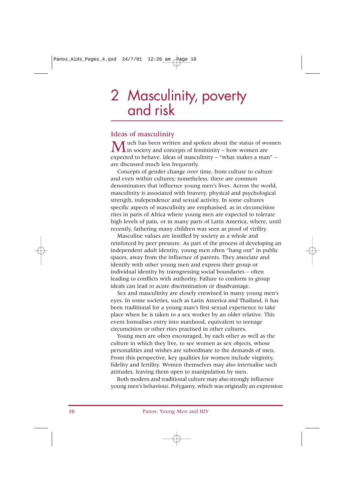## 2 Masculinity, poverty and risk

## Ideas of masculinity

Much has been written and spoken about the status of women<br>in society and concepts of femininity – how women are<br> $\frac{1}{2}$ expected to behave. Ideas of masculinity – "what makes a man" – are discussed much less frequently.

Concepts of gender change over time, from culture to culture and even within cultures; nonetheless, there are common denominators that influence young men's lives. Across the world, masculinity is associated with bravery, physical and psychological strength, independence and sexual activity. In some cultures specific aspects of masculinity are emphasised, as in circumcision rites in parts of Africa where young men are expected to tolerate high levels of pain, or in many parts of Latin America, where, until recently, fathering many children was seen as proof of virility.

Masculine values are instilled by society as a whole and reinforced by peer pressure. As part of the process of developing an independent adult identity, young men often "hang out" in public spaces, away from the influence of parents. They associate and identify with other young men and express their group or individual identity by transgressing social boundaries – often leading to conflicts with authority. Failure to conform to group ideals can lead to acute discrimination or disadvantage.

Sex and masculinity are closely entwined in many young men's eyes. In some societies, such as Latin America and Thailand, it has been traditional for a young man's first sexual experience to take place when he is taken to a sex worker by an older relative. This event formalises entry into manhood, equivalent to teenage circumcision or other rites practised in other cultures.

Young men are often encouraged, by each other as well as the culture in which they live, to see women as sex objects, whose personalities and wishes are subordinate to the demands of men. From this perspective, key qualities for women include virginity, fidelity and fertility. Women themselves may also internalise such attitudes, leaving them open to manipulation by men.

Both modern and traditional culture may also strongly influence young men's behaviour. Polygamy, which was originally an expression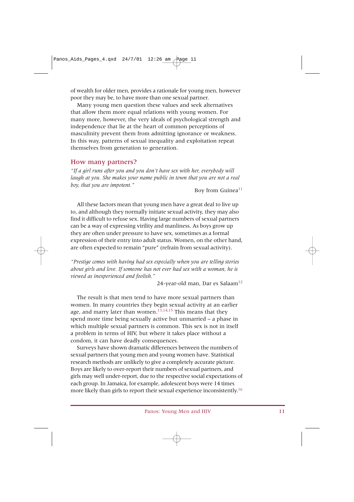of wealth for older men, provides a rationale for young men, however poor they may be, to have more than one sexual partner.

Many young men question these values and seek alternatives that allow them more equal relations with young women. For many more, however, the very ideals of psychological strength and independence that lie at the heart of common perceptions of masculinity prevent them from admitting ignorance or weakness. In this way, patterns of sexual inequality and exploitation repeat themselves from generation to generation.

## How many partners?

*"If a girl runs after you and you don't have sex with her, everybody will laugh at you. She makes your name public in town that you are not a real boy, that you are impotent."*

Boy from Guinea<sup>11</sup>

All these factors mean that young men have a great deal to live up to, and although they normally initiate sexual activity, they may also find it difficult to refuse sex. Having large numbers of sexual partners can be a way of expressing virility and manliness. As boys grow up they are often under pressure to have sex, sometimes as a formal expression of their entry into adult status. Women, on the other hand, are often expected to remain "pure" (refrain from sexual activity).

*"Prestige comes with having had sex especially when you are telling stories about girls and love. If someone has not ever had sex with a woman, he is viewed as inexperienced and foolish."*

24-year-old man, Dar es Salaam<sup>12</sup>

The result is that men tend to have more sexual partners than women. In many countries they begin sexual activity at an earlier age, and marry later than women.<sup>13,14,15</sup> This means that they spend more time being sexually active but unmarried – a phase in which multiple sexual partners is common. This sex is not in itself a problem in terms of HIV, but where it takes place without a condom, it can have deadly consequences.

Surveys have shown dramatic differences between the numbers of sexual partners that young men and young women have. Statistical research methods are unlikely to give a completely accurate picture. Boys are likely to over-report their numbers of sexual partners, and girls may well under-report, due to the respective social expectations of each group. In Jamaica, for example, adolescent boys were 14 times more likely than girls to report their sexual experience inconsistently.<sup>16</sup>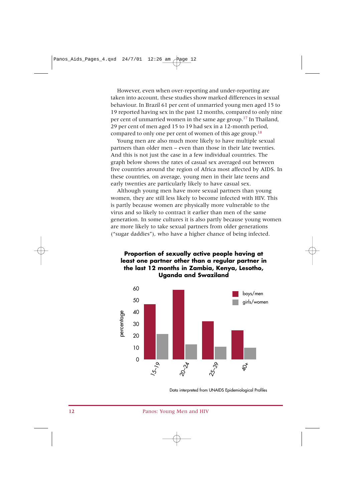However, even when over-reporting and under-reporting are taken into account, these studies show marked differences in sexual behaviour. In Brazil 61 per cent of unmarried young men aged 15 to 19 reported having sex in the past 12 months, compared to only nine per cent of unmarried women in the same age group.<sup>17</sup> In Thailand, 29 per cent of men aged 15 to 19 had sex in a 12-month period, compared to only one per cent of women of this age group.<sup>18</sup>

Young men are also much more likely to have multiple sexual partners than older men – even than those in their late twenties. And this is not just the case in a few individual countries. The graph below shows the rates of casual sex averaged out between five countries around the region of Africa most affected by AIDS. In these countries, on average, young men in their late teens and early twenties are particularly likely to have casual sex.

Although young men have more sexual partners than young women, they are still less likely to become infected with HIV. This is partly because women are physically more vulnerable to the virus and so likely to contract it earlier than men of the same generation. In some cultures it is also partly because young women are more likely to take sexual partners from older generations ("sugar daddies"), who have a higher chance of being infected.

## **Proportion of sexually active people having at least one partner other than a regular partner in the last 12 months in Zambia, Kenya, Lesotho, Uganda and Swaziland**



Data interpreted from UNAIDS Epidemiological Profiles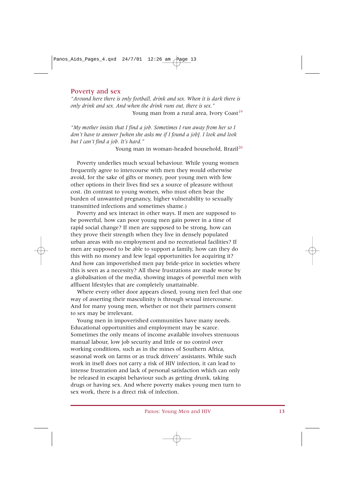## Poverty and sex

*"Around here there is only football, drink and sex. When it is dark there is only drink and sex. And when the drink runs out, there is sex."* Young man from a rural area, Ivory Coast<sup>19</sup>

*"My mother insists that I find a job. Sometimes I run away from her so I don't have to answer [when she asks me if I found a job]. I look and look but I can't find a job. It's hard."*

Young man in woman-headed household, Brazil<sup>20</sup>

Poverty underlies much sexual behaviour. While young women frequently agree to intercourse with men they would otherwise avoid, for the sake of gifts or money, poor young men with few other options in their lives find sex a source of pleasure without cost. (In contrast to young women, who must often bear the burden of unwanted pregnancy, higher vulnerability to sexually transmitted infections and sometimes shame.)

Poverty and sex interact in other ways. If men are supposed to be powerful, how can poor young men gain power in a time of rapid social change? If men are supposed to be strong, how can they prove their strength when they live in densely populated urban areas with no employment and no recreational facilities? If men are supposed to be able to support a family, how can they do this with no money and few legal opportunities for acquiring it? And how can impoverished men pay bride-price in societies where this is seen as a necessity? All these frustrations are made worse by a globalisation of the media, showing images of powerful men with affluent lifestyles that are completely unattainable.

Where every other door appears closed, young men feel that one way of asserting their masculinity is through sexual intercourse. And for many young men, whether or not their partners consent to sex may be irrelevant.

Young men in impoverished communities have many needs. Educational opportunities and employment may be scarce. Sometimes the only means of income available involves strenuous manual labour, low job security and little or no control over working conditions, such as in the mines of Southern Africa, seasonal work on farms or as truck drivers' assistants. While such work in itself does not carry a risk of HIV infection, it can lead to intense frustration and lack of personal satisfaction which can only be released in escapist behaviour such as getting drunk, taking drugs or having sex. And where poverty makes young men turn to sex work, there is a direct risk of infection.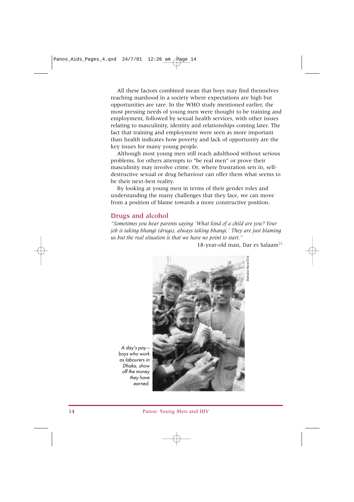All these factors combined mean that boys may find themselves reaching manhood in a society where expectations are high but opportunities are rare. In the WHO study mentioned earlier, the most pressing needs of young men were thought to be training and employment, followed by sexual health services, with other issues relating to masculinity, identity and relationships coming later. The fact that training and employment were seen as more important than health indicates how poverty and lack of opportunity are the key issues for many young people.

Although most young men still reach adulthood without serious problems, for others attempts to "be real men" or prove their masculinity may involve crime. Or, where frustration sets in, selfdestructive sexual or drug behaviour can offer them what seems to be their next-best reality.

By looking at young men in terms of their gender roles and understanding the many challenges that they face, we can move from a position of blame towards a more constructive position.

#### Drugs and alcohol

*"Sometimes you hear parents saying 'What kind of a child are you? Your job is taking bhangi (drugs), always taking bhangi.' They are just blaming us but the real situation is that we have no point to start."*

18-year-old man, Dar es Salaam<sup>21</sup>



*A day's pay – boys who work as labourers in Dhaka, show off the money they have earned.*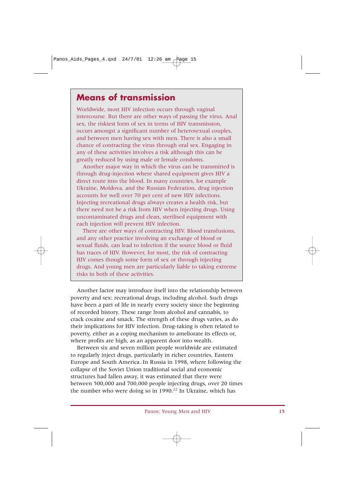## **Means of transmission**

Worldwide, most HIV infection occurs through vaginal intercourse. But there are other ways of passing the virus. Anal sex, the riskiest form of sex in terms of HIV transmission, occurs amongst a significant number of heterosexual couples, and between men having sex with men. There is also a small chance of contracting the virus through oral sex. Engaging in any of these activities involves a risk although this can be greatly reduced by using male or female condoms.

Another major way in which the virus can be transmitted is through drug-injection where shared equipment gives HIV a direct route into the blood. In many countries, for example Ukraine, Moldova, and the Russian Federation, drug injection accounts for well over 70 per cent of new HIV infections. Injecting recreational drugs always creates a health risk, but there need not be a risk from HIV when injecting drugs. Using uncontaminated drugs and clean, sterilised equipment with each injection will prevent HIV infection.

There are other ways of contracting HIV. Blood transfusions, and any other practice involving an exchange of blood or sexual fluids, can lead to infection if the source blood or fluid has traces of HIV. However, for most, the risk of contracting HIV comes though some form of sex or through injecting drugs. And young men are particularly liable to taking extreme risks in both of these activities.

Another factor may introduce itself into the relationship between poverty and sex: recreational drugs, including alcohol. Such drugs have been a part of life in nearly every society since the beginning of recorded history. These range from alcohol and cannabis, to crack cocaine and smack. The strength of these drugs varies, as do their implications for HIV infection. Drug-taking is often related to poverty, either as a coping mechanism to ameliorate its effects or, where profits are high, as an apparent door into wealth.

Between six and seven million people worldwide are estimated to regularly inject drugs, particularly in richer countries, Eastern Europe and South America. In Russia in 1998, where following the collapse of the Soviet Union traditional social and economic structures had fallen away, it was estimated that there were between 500,000 and 700,000 people injecting drugs, over 20 times the number who were doing so in  $1990<sup>22</sup>$  In Ukraine, which has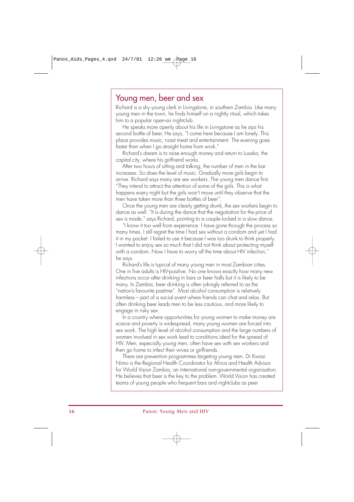## Young men, beer and sex

Richard is a shy young clerk in Livingstone, in southern Zambia. Like many young men in the town, he finds himself on a nightly ritual, which takes him to a popular open-air nightclub.

He speaks more openly about his life in Livingstone as he sips his second bottle of beer. He says, "I come here because I am lonely. This place provides music, roast meat and entertainment. The evening goes faster than when I go straight home from work."

Richard's dream is to raise enough money and return to Lusaka, the capital city, where his girlfriend works.

After two hours of sitting and talking, the number of men in the bar increases. So does the level of music. Gradually more girls begin to arrive. Richard says many are sex workers. The young men dance first. "They intend to attract the attention of some of the girls. This is what happens every night but the girls won't move until they observe that the men have taken more than three bottles of beer".

Once the young men are clearly getting drunk, the sex workers begin to dance as well. "It is during the dance that the negotiation for the price of sex is made," says Richard, pointing to a couple locked in a slow dance.

"I know it too well from experience. I have gone through the process so many times. I still regret the time I had sex without a condom and yet I had it in my pocket. I failed to use it because I was too drunk to think properly. I wanted to enjoy sex so much that I did not think about protecting myself with a condom. Now I have to worry all the time about HIV infection," he says.

Richard's life is typical of many young men in most Zambian cities. One in five adults is HIV-positive. No one knows exactly how many new infections occur after drinking in bars or beer halls but it is likely to be many. In Zambia, beer drinking is often jokingly referred to as the "nation's favourite pastime". Most alcohol consumption is relatively harmless – part of a social event where friends can chat and relax. But often drinking beer leads men to be less cautious, and more likely to engage in risky sex.

In a country where opportunities for young women to make money are scarce and poverty is widespread, many young women are forced into sex work. The high level of alcohol consumption and the large numbers of women involved in sex work lead to conditions ideal for the spread of HIV. Men, especially young men, often have sex with sex workers and then go home to infect their wives or girlfriends.

There are prevention programmes targeting young men. Dr Kwasi Nimo is the Regional Health Coordinator for Africa and Health Advisor for World Vision Zambia, an international non-governmental organisation. He believes that beer is the key to the problem. World Vision has created teams of young people who frequent bars and nightclubs as peer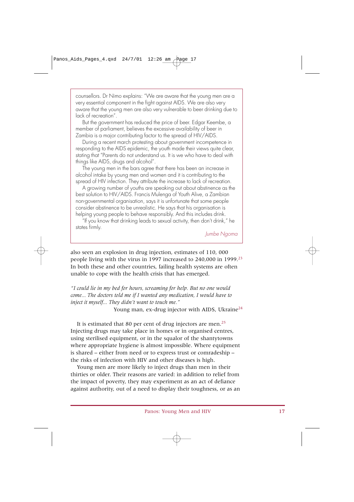counsellors. Dr Nimo explains: "We are aware that the young men are a very essential component in the fight against AIDS. We are also very aware that the young men are also very vulnerable to beer drinking due to lack of recreation".

But the government has reduced the price of beer. Edgar Keembe, a member of parliament, believes the excessive availability of beer in Zambia is a major contributing factor to the spread of HIV/AIDS.

During a recent march protesting about government incompetence in responding to the AIDS epidemic, the youth made their views quite clear, stating that "Parents do not understand us. It is we who have to deal with things like AIDS, drugs and alcohol".

The young men in the bars agree that there has been an increase in alcohol intake by young men and women and it is contributing to the spread of HIV infection. They attribute the increase to lack of recreation.

A growing number of youths are speaking out about abstinence as the best solution to HIV/AIDS. Francis Mulenga of Youth Alive, a Zambian non-governmental organisation, says it is unfortunate that some people consider abstinence to be unrealistic. He says that his organisation is helping young people to behave responsibly. And this includes drink.

"If you know that drinking leads to sexual activity, then don't drink," he states firmly.

*Jumbe Ngoma*

also seen an explosion in drug injection, estimates of 110, 000 people living with the virus in 1997 increased to 240,000 in 1999.23 In both these and other countries, failing health systems are often unable to cope with the health crisis that has emerged.

*"I could lie in my bed for hours, screaming for help. But no one would come... The doctors told me if I wanted any medication, I would have to inject it myself... They didn't want to touch me."*

Young man, ex-drug injector with AIDS, Ukraine<sup>24</sup>

It is estimated that 80 per cent of drug injectors are men.<sup>25</sup> Injecting drugs may take place in homes or in organised centres, using sterilised equipment, or in the squalor of the shantytowns where appropriate hygiene is almost impossible. Where equipment is shared – either from need or to express trust or comradeship – the risks of infection with HIV and other diseases is high.

Young men are more likely to inject drugs than men in their thirties or older. Their reasons are varied: in addition to relief from the impact of poverty, they may experiment as an act of defiance against authority, out of a need to display their toughness, or as an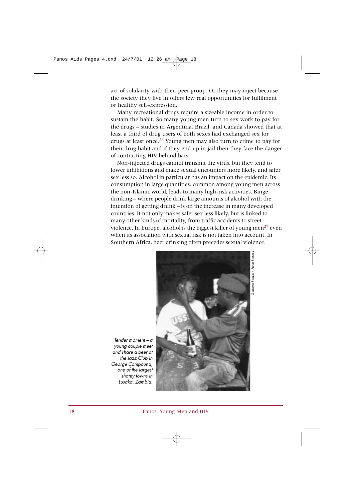act of solidarity with their peer group. Or they may inject because the society they live in offers few real opportunities for fulfilment or healthy self-expression.

Many recreational drugs require a sizeable income in order to sustain the habit. So many young men turn to sex work to pay for the drugs – studies in Argentina, Brazil, and Canada showed that at least a third of drug users of both sexes had exchanged sex for drugs at least once.<sup>26</sup> Young men may also turn to crime to pay for their drug habit and if they end up in jail then they face the danger of contracting HIV behind bars.

Non-injected drugs cannot transmit the virus, but they tend to lower inhibitions and make sexual encounters more likely, and safer sex less so. Alcohol in particular has an impact on the epidemic. Its consumption in large quantities, common among young men across the non-Islamic world, leads to many high-risk activities. Binge drinking – where people drink large amounts of alcohol with the intention of getting drunk – is on the increase in many developed countries. It not only makes safer sex less likely, but is linked to many other kinds of mortality, from traffic accidents to street violence. In Europe, alcohol is the biggest killer of young men<sup>27</sup> even when its association with sexual risk is not taken into account. In Southern Africa, beer drinking often precedes sexual violence.



*Tender moment – a young couple meet and share a beer at the Jazz Club in George Compound, one of the largest shanty towns in Lusaka, Zambia.*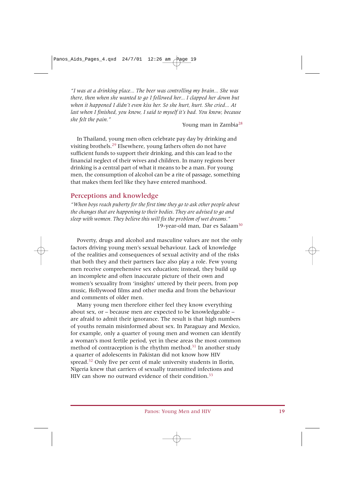*"I was at a drinking place... The beer was controlling my brain... She was there, then when she wanted to go I followed her... I clapped her down but when it happened I didn't even kiss her. So she hurt, hurt. She cried... At last when I finished, you know, I said to myself it's bad. You know, because she felt the pain."*

Young man in Zambia28

In Thailand, young men often celebrate pay day by drinking and visiting brothels.29 Elsewhere, young fathers often do not have sufficient funds to support their drinking, and this can lead to the financial neglect of their wives and children. In many regions beer drinking is a central part of what it means to be a man. For young men, the consumption of alcohol can be a rite of passage, something that makes them feel like they have entered manhood.

## Perceptions and knowledge

*"When boys reach puberty for the first time they go to ask other people about the changes that are happening to their bodies. They are advised to go and sleep with women. They believe this will fix the problem of wet dreams."* 19-year-old man, Dar es Salaam<sup>30</sup>

Poverty, drugs and alcohol and masculine values are not the only factors driving young men's sexual behaviour. Lack of knowledge of the realities and consequences of sexual activity and of the risks that both they and their partners face also play a role. Few young men receive comprehensive sex education; instead, they build up an incomplete and often inaccurate picture of their own and women's sexuality from 'insights' uttered by their peers, from pop music, Hollywood films and other media and from the behaviour and comments of older men.

Many young men therefore either feel they know everything about sex, or – because men are expected to be knowledgeable – are afraid to admit their ignorance. The result is that high numbers of youths remain misinformed about sex. In Paraguay and Mexico, for example, only a quarter of young men and women can identify a woman's most fertile period, yet in these areas the most common method of contraception is the rhythm method.<sup>31</sup> In another study a quarter of adolescents in Pakistan did not know how HIV spread.<sup>32</sup> Only five per cent of male university students in Ilorin, Nigeria knew that carriers of sexually transmitted infections and HIV can show no outward evidence of their condition.<sup>33</sup>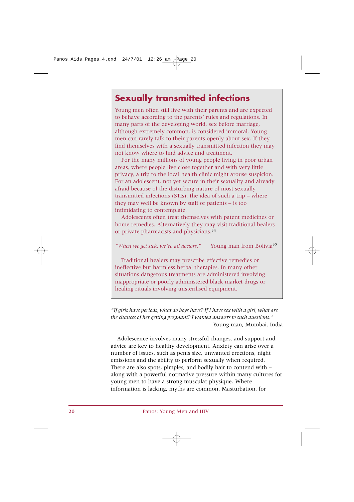## **Sexually transmitted infections**

Young men often still live with their parents and are expected to behave according to the parents' rules and regulations. In many parts of the developing world, sex before marriage, although extremely common, is considered immoral. Young men can rarely talk to their parents openly about sex. If they find themselves with a sexually transmitted infection they may not know where to find advice and treatment.

For the many millions of young people living in poor urban areas, where people live close together and with very little privacy, a trip to the local health clinic might arouse suspicion. For an adolescent, not yet secure in their sexuality and already afraid because of the disturbing nature of most sexually transmitted infections (STIs), the idea of such a trip – where they may well be known by staff or patients – is too intimidating to contemplate.

Adolescents often treat themselves with patent medicines or home remedies. Alternatively they may visit traditional healers or private pharmacists and physicians.34

*"When we get sick, we're all doctors."* Young man from Bolivia<sup>35</sup>

Traditional healers may prescribe effective remedies or ineffective but harmless herbal therapies. In many other situations dangerous treatments are administered involving inappropriate or poorly administered black market drugs or healing rituals involving unsterilised equipment.

*"If girls have periods, what do boys have? If I have sex with a girl, what are the chances of her getting pregnant? I wanted answers to such questions."*  Young man, Mumbai, India

Adolescence involves many stressful changes, and support and advice are key to healthy development. Anxiety can arise over a number of issues, such as penis size, unwanted erections, night emissions and the ability to perform sexually when required. There are also spots, pimples, and bodily hair to contend with – along with a powerful normative pressure within many cultures for young men to have a strong muscular physique. Where information is lacking, myths are common. Masturbation, for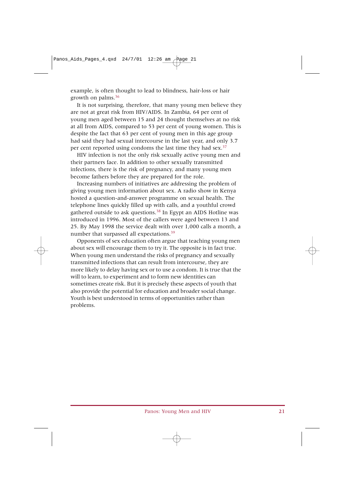example, is often thought to lead to blindness, hair-loss or hair growth on palms.36

It is not surprising, therefore, that many young men believe they are not at great risk from HIV/AIDS. In Zambia, 64 per cent of young men aged between 15 and 24 thought themselves at no risk at all from AIDS, compared to 53 per cent of young women. This is despite the fact that 63 per cent of young men in this age group had said they had sexual intercourse in the last year, and only 3.7 per cent reported using condoms the last time they had sex.<sup>37</sup>

HIV infection is not the only risk sexually active young men and their partners face. In addition to other sexually transmitted infections, there is the risk of pregnancy, and many young men become fathers before they are prepared for the role.

Increasing numbers of initiatives are addressing the problem of giving young men information about sex. A radio show in Kenya hosted a question-and-answer programme on sexual health. The telephone lines quickly filled up with calls, and a youthful crowd gathered outside to ask questions.38 In Egypt an AIDS Hotline was introduced in 1996. Most of the callers were aged between 13 and 25. By May 1998 the service dealt with over 1,000 calls a month, a number that surpassed all expectations.<sup>39</sup>

Opponents of sex education often argue that teaching young men about sex will encourage them to try it. The opposite is in fact true. When young men understand the risks of pregnancy and sexually transmitted infections that can result from intercourse, they are more likely to delay having sex or to use a condom. It is true that the will to learn, to experiment and to form new identities can sometimes create risk. But it is precisely these aspects of youth that also provide the potential for education and broader social change. Youth is best understood in terms of opportunities rather than problems.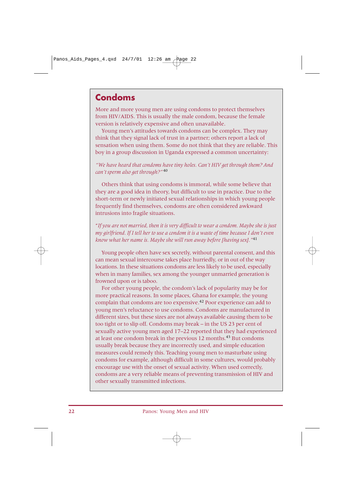## **Condoms**

More and more young men are using condoms to protect themselves from HIV/AIDS. This is usually the male condom, because the female version is relatively expensive and often unavailable.

Young men's attitudes towards condoms can be complex. They may think that they signal lack of trust in a partner; others report a lack of sensation when using them. Some do not think that they are reliable. This boy in a group discussion in Uganda expressed a common uncertainty:

*"We have heard that condoms have tiny holes. Can't HIV get through them? And can't sperm also get through?"* <sup>40</sup>

Others think that using condoms is immoral, while some believe that they are a good idea in theory, but difficult to use in practice. Due to the short-term or newly initiated sexual relationships in which young people frequently find themselves, condoms are often considered awkward intrusions into fragile situations.

"*If you are not married, then it is very difficult to wear a condom. Maybe she is just my girlfriend. If I tell her to use a condom it is a waste of time because I don't even know what her name is. Maybe she will run away before [having sex]."*<sup>41</sup>

Young people often have sex secretly, without parental consent, and this can mean sexual intercourse takes place hurriedly, or in out of the way locations. In these situations condoms are less likely to be used, especially when in many families, sex among the younger unmarried generation is frowned upon or is taboo.

For other young people, the condom's lack of popularity may be for more practical reasons. In some places, Ghana for example, the young complain that condoms are too expensive.<sup>42</sup> Poor experience can add to young men's reluctance to use condoms. Condoms are manufactured in different sizes, but these sizes are not always available causing them to be too tight or to slip off. Condoms may break – in the US 23 per cent of sexually active young men aged 17–22 reported that they had experienced at least one condom break in the previous 12 months.43 But condoms usually break because they are incorrectly used, and simple education measures could remedy this. Teaching young men to masturbate using condoms for example, although difficult in some cultures, would probably encourage use with the onset of sexual activity. When used correctly, condoms are a very reliable means of preventing transmission of HIV and other sexually transmitted infections.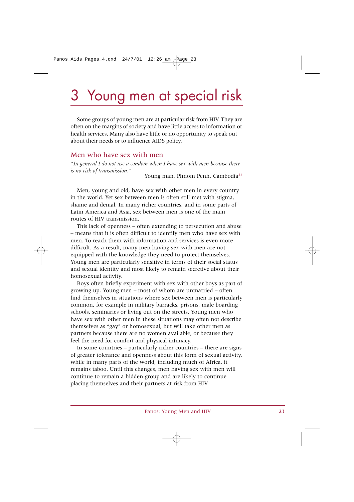# 3 Young men at special risk

Some groups of young men are at particular risk from HIV. They are often on the margins of society and have little access to information or health services. Many also have little or no opportunity to speak out about their needs or to influence AIDS policy.

#### Men who have sex with men

*"In general I do not use a condom when I have sex with men because there is no risk of transmission."*

Young man, Phnom Penh, Cambodia<sup>44</sup>

Men, young and old, have sex with other men in every country in the world. Yet sex between men is often still met with stigma, shame and denial. In many richer countries, and in some parts of Latin America and Asia, sex between men is one of the main routes of HIV transmission.

This lack of openness – often extending to persecution and abuse – means that it is often difficult to identify men who have sex with men. To reach them with information and services is even more difficult. As a result, many men having sex with men are not equipped with the knowledge they need to protect themselves. Young men are particularly sensitive in terms of their social status and sexual identity and most likely to remain secretive about their homosexual activity.

Boys often briefly experiment with sex with other boys as part of growing up. Young men – most of whom are unmarried – often find themselves in situations where sex between men is particularly common, for example in military barracks, prisons, male boarding schools, seminaries or living out on the streets. Young men who have sex with other men in these situations may often not describe themselves as "gay" or homosexual, but will take other men as partners because there are no women available, or because they feel the need for comfort and physical intimacy.

In some countries – particularly richer countries – there are signs of greater tolerance and openness about this form of sexual activity, while in many parts of the world, including much of Africa, it remains taboo. Until this changes, men having sex with men will continue to remain a hidden group and are likely to continue placing themselves and their partners at risk from HIV.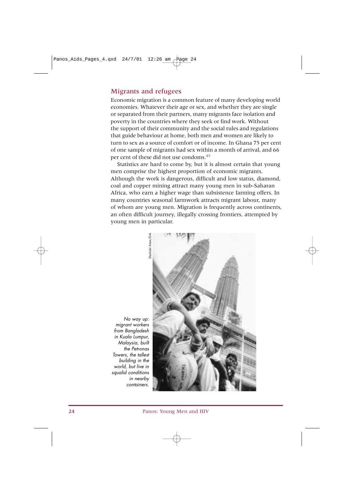## Migrants and refugees

Economic migration is a common feature of many developing world economies. Whatever their age or sex, and whether they are single or separated from their partners, many migrants face isolation and poverty in the countries where they seek or find work. Without the support of their community and the social rules and regulations that guide behaviour at home, both men and women are likely to turn to sex as a source of comfort or of income. In Ghana 75 per cent of one sample of migrants had sex within a month of arrival, and 66 per cent of these did not use condoms.45

Statistics are hard to come by, but it is almost certain that young men comprise the highest proportion of economic migrants. Although the work is dangerous, difficult and low status, diamond, coal and copper mining attract many young men in sub-Saharan Africa, who earn a higher wage than subsistence farming offers. In many countries seasonal farmwork attracts migrant labour, many of whom are young men. Migration is frequently across continents, an often difficult journey, illegally crossing frontiers, attempted by young men in particular.



*No way up: migrant workers from Bangladesh in Kuala Lumpur, Malaysia, built the Petronas Towers, the tallest building in the world, but live in squalid conditions in nearby containers.*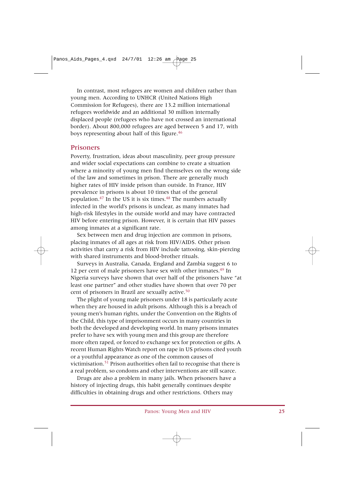In contrast, most refugees are women and children rather than young men. According to UNHCR (United Nations High Commission for Refugees), there are 13.2 million international refugees worldwide and an additional 30 million internally displaced people (refugees who have not crossed an international border). About 800,000 refugees are aged between 5 and 17, with boys representing about half of this figure.<sup>46</sup>

## Prisoners

Poverty, frustration, ideas about masculinity, peer group pressure and wider social expectations can combine to create a situation where a minority of young men find themselves on the wrong side of the law and sometimes in prison. There are generally much higher rates of HIV inside prison than outside. In France, HIV prevalence in prisons is about 10 times that of the general population. $47$  In the US it is six times. $48$  The numbers actually infected in the world's prisons is unclear, as many inmates had high-risk lifestyles in the outside world and may have contracted HIV before entering prison. However, it is certain that HIV passes among inmates at a significant rate.

Sex between men and drug injection are common in prisons, placing inmates of all ages at risk from HIV/AIDS. Other prison activities that carry a risk from HIV include tattooing, skin-piercing with shared instruments and blood-brother rituals.

Surveys in Australia, Canada, England and Zambia suggest 6 to 12 per cent of male prisoners have sex with other inmates.<sup>49</sup> In Nigeria surveys have shown that over half of the prisoners have "at least one partner" and other studies have shown that over 70 per cent of prisoners in Brazil are sexually active.<sup>50</sup>

The plight of young male prisoners under 18 is particularly acute when they are housed in adult prisons. Although this is a breach of young men's human rights, under the Convention on the Rights of the Child, this type of imprisonment occurs in many countries in both the developed and developing world. In many prisons inmates prefer to have sex with young men and this group are therefore more often raped, or forced to exchange sex for protection or gifts. A recent Human Rights Watch report on rape in US prisons cited youth or a youthful appearance as one of the common causes of victimisation.<sup>51</sup> Prison authorities often fail to recognise that there is a real problem, so condoms and other interventions are still scarce.

Drugs are also a problem in many jails. When prisoners have a history of injecting drugs, this habit generally continues despite difficulties in obtaining drugs and other restrictions. Others may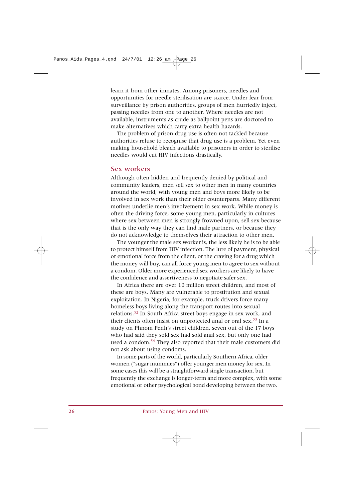learn it from other inmates. Among prisoners, needles and opportunities for needle sterilisation are scarce. Under fear from surveillance by prison authorities, groups of men hurriedly inject, passing needles from one to another. Where needles are not available, instruments as crude as ballpoint pens are doctored to make alternatives which carry extra health hazards.

The problem of prison drug use is often not tackled because authorities refuse to recognise that drug use is a problem. Yet even making household bleach available to prisoners in order to sterilise needles would cut HIV infections drastically.

#### Sex workers

Although often hidden and frequently denied by political and community leaders, men sell sex to other men in many countries around the world, with young men and boys more likely to be involved in sex work than their older counterparts. Many different motives underlie men's involvement in sex work. While money is often the driving force, some young men, particularly in cultures where sex between men is strongly frowned upon, sell sex because that is the only way they can find male partners, or because they do not acknowledge to themselves their attraction to other men.

The younger the male sex worker is, the less likely he is to be able to protect himself from HIV infection. The lure of payment, physical or emotional force from the client, or the craving for a drug which the money will buy, can all force young men to agree to sex without a condom. Older more experienced sex workers are likely to have the confidence and assertiveness to negotiate safer sex.

In Africa there are over 10 million street children, and most of these are boys. Many are vulnerable to prostitution and sexual exploitation. In Nigeria, for example, truck drivers force many homeless boys living along the transport routes into sexual relations.52 In South Africa street boys engage in sex work, and their clients often insist on unprotected anal or oral sex.<sup>53</sup> In a study on Phnom Penh's street children, seven out of the 17 boys who had said they sold sex had sold anal sex, but only one had used a condom.<sup>54</sup> They also reported that their male customers did not ask about using condoms.

In some parts of the world, particularly Southern Africa, older women ("sugar mummies") offer younger men money for sex. In some cases this will be a straightforward single transaction, but frequently the exchange is longer-term and more complex, with some emotional or other psychological bond developing between the two.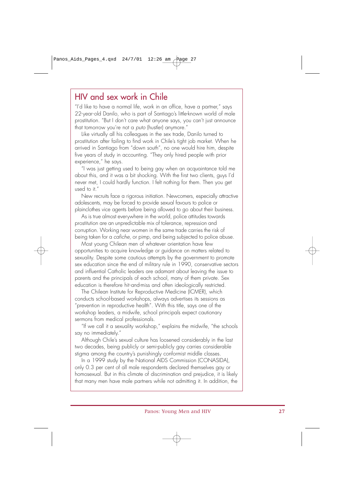## HIV and sex work in Chile

"I'd like to have a normal life, work in an office, have a partner," says 22-year-old Danilo, who is part of Santiago's little-known world of male prostitution. "But I don't care what anyone says, you can't just announce that tomorrow you're not a *puto* (hustler) anymore."

Like virtually all his colleagues in the sex trade, Danilo turned to prostitution after failing to find work in Chile's tight job market. When he arrived in Santiago from "down south", no one would hire him, despite five years of study in accounting. "They only hired people with prior experience," he says.

"I was just getting used to being gay when an acquaintance told me about this, and it was a bit shocking. With the first two clients, guys I'd never met, I could hardly function. I felt nothing for them. Then you get used to it."

New recruits face a rigorous initiation. Newcomers, especially attractive adolescents, may be forced to provide sexual favours to police or plainclothes vice agents before being allowed to go about their business.

As is true almost everywhere in the world, police attitudes towards prostitution are an unpredictable mix of tolerance, repression and corruption. Working near women in the same trade carries the risk of being taken for a *cafiche*, or pimp, and being subjected to police abuse.

Most young Chilean men of whatever orientation have few opportunities to acquire knowledge or guidance on matters related to sexuality. Despite some cautious attempts by the government to promote sex education since the end of military rule in 1990, conservative sectors and influential Catholic leaders are adamant about leaving the issue to parents and the principals of each school, many of them private. Sex education is therefore hit-and-miss and often ideologically restricted.

The Chilean Institute for Reproductive Medicine (ICMER), which conducts school-based workshops, always advertises its sessions as "prevention in reproductive health". With this title, says one of the workshop leaders, a midwife, school principals expect cautionary sermons from medical professionals.

"If we call it a sexuality workshop," explains the midwife, "the schools say no immediately."

Although Chile's sexual culture has loosened considerably in the last two decades, being publicly or semi-publicly gay carries considerable stigma among the country's punishingly conformist middle classes.

In a 1999 study by the National AIDS Commission (CONASIDA), only 0.3 per cent of all male respondents declared themselves gay or homosexual. But in this climate of discrimination and prejudice, it is likely that many men have male partners while not admitting it. In addition, the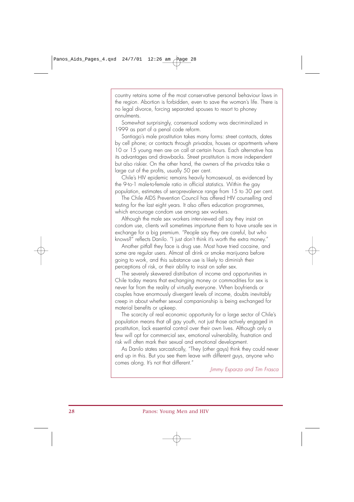country retains some of the most conservative personal behaviour laws in the region. Abortion is forbidden, even to save the woman's life. There is no legal divorce, forcing separated spouses to resort to phoney annulments.

Somewhat surprisingly, consensual sodomy was decriminalized in 1999 as part of a penal code reform.

Santiago's male prostitution takes many forms: street contacts, dates by cell phone; or contacts through *privados*, houses or apartments where 10 or 15 young men are on call at certain hours. Each alternative has its advantages and drawbacks. Street prostitution is more independent but also riskier. On the other hand, the owners of the *privados* take a large cut of the profits, usually 50 per cent.

Chile's HIV epidemic remains heavily homosexual, as evidenced by the 9-to-1 male-to-female ratio in official statistics. Within the gay population, estimates of seroprevalence range from 15 to 30 per cent.

The Chile AIDS Prevention Council has offered HIV counselling and testing for the last eight years. It also offers education programmes, which encourage condom use among sex workers.

Although the male sex workers interviewed all say they insist on condom use, clients will sometimes importune them to have unsafe sex in exchange for a big premium. "People say they are careful, but who knows?" reflects Danilo. "I just don't think it's worth the extra money."

Another pitfall they face is drug use. Most have tried cocaine, and some are regular users. Almost all drink or smoke marijuana before going to work, and this substance use is likely to diminish their perceptions of risk, or their ability to insist on safer sex.

The severely skewered distribution of income and opportunities in Chile today means that exchanging money or commodities for sex is never far from the reality of virtually everyone. When boyfriends or couples have enormously divergent levels of income, doubts inevitably creep in about whether sexual companionship is being exchanged for material benefits or upkeep.

The scarcity of real economic opportunity for a large sector of Chile's population means that all gay youth, not just those actively engaged in prostitution, lack essential control over their own lives. Although only a few will opt for commercial sex, emotional vulnerability, frustration and risk will often mark their sexual and emotional development.

As Danilo states sarcastically, "They (other gays) think they could never end up in this. But you see them leave with different guys, anyone who comes along. It's not that different."

*Jimmy Esparza and Tim Frasca*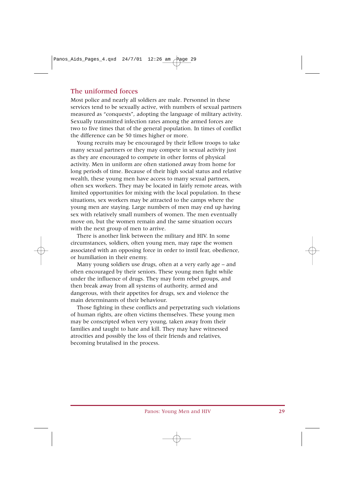## The uniformed forces

Most police and nearly all soldiers are male. Personnel in these services tend to be sexually active, with numbers of sexual partners measured as "conquests", adopting the language of military activity. Sexually transmitted infection rates among the armed forces are two to five times that of the general population. In times of conflict the difference can be 50 times higher or more.

Young recruits may be encouraged by their fellow troops to take many sexual partners or they may compete in sexual activity just as they are encouraged to compete in other forms of physical activity. Men in uniform are often stationed away from home for long periods of time. Because of their high social status and relative wealth, these young men have access to many sexual partners, often sex workers. They may be located in fairly remote areas, with limited opportunities for mixing with the local population. In these situations, sex workers may be attracted to the camps where the young men are staying. Large numbers of men may end up having sex with relatively small numbers of women. The men eventually move on, but the women remain and the same situation occurs with the next group of men to arrive.

There is another link between the military and HIV. In some circumstances, soldiers, often young men, may rape the women associated with an opposing force in order to instil fear, obedience, or humiliation in their enemy.

Many young soldiers use drugs, often at a very early age – and often encouraged by their seniors. These young men fight while under the influence of drugs. They may form rebel groups, and then break away from all systems of authority, armed and dangerous, with their appetites for drugs, sex and violence the main determinants of their behaviour.

Those fighting in these conflicts and perpetrating such violations of human rights, are often victims themselves. These young men may be conscripted when very young, taken away from their families and taught to hate and kill. They may have witnessed atrocities and possibly the loss of their friends and relatives, becoming brutalised in the process.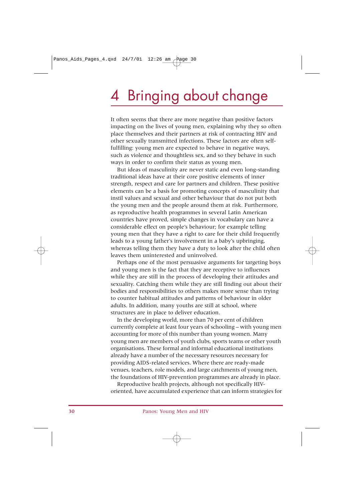# 4 Bringing about change

It often seems that there are more negative than positive factors impacting on the lives of young men, explaining why they so often place themselves and their partners at risk of contracting HIV and other sexually transmitted infections. These factors are often selffulfilling: young men are expected to behave in negative ways, such as violence and thoughtless sex, and so they behave in such ways in order to confirm their status as young men.

But ideas of masculinity are never static and even long-standing traditional ideas have at their core positive elements of inner strength, respect and care for partners and children. These positive elements can be a basis for promoting concepts of masculinity that instil values and sexual and other behaviour that do not put both the young men and the people around them at risk. Furthermore, as reproductive health programmes in several Latin American countries have proved, simple changes in vocabulary can have a considerable effect on people's behaviour; for example telling young men that they have a right to care for their child frequently leads to a young father's involvement in a baby's upbringing, whereas telling them they have a duty to look after the child often leaves them uninterested and uninvolved.

Perhaps one of the most persuasive arguments for targeting boys and young men is the fact that they are receptive to influences while they are still in the process of developing their attitudes and sexuality. Catching them while they are still finding out about their bodies and responsibilities to others makes more sense than trying to counter habitual attitudes and patterns of behaviour in older adults. In addition, many youths are still at school, where structures are in place to deliver education.

In the developing world, more than 70 per cent of children currently complete at least four years of schooling – with young men accounting for more of this number than young women. Many young men are members of youth clubs, sports teams or other youth organisations. These formal and informal educational institutions already have a number of the necessary resources necessary for providing AIDS-related services. Where there are ready-made venues, teachers, role models, and large catchments of young men, the foundations of HIV-prevention programmes are already in place.

Reproductive health projects, although not specifically HIVoriented, have accumulated experience that can inform strategies for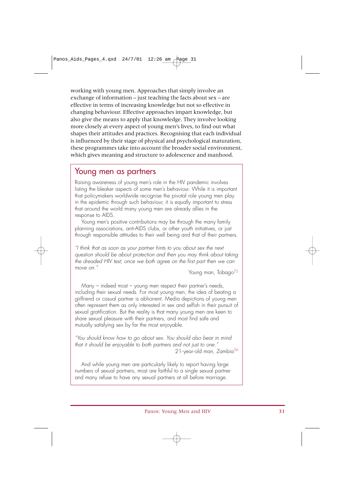working with young men. Approaches that simply involve an exchange of information – just teaching the facts about sex – are effective in terms of increasing knowledge but not so effective in changing behaviour. Effective approaches impart knowledge, but also give the means to apply that knowledge. They involve looking more closely at every aspect of young men's lives, to find out what shapes their attitudes and practices. Recognising that each individual is influenced by their stage of physical and psychological maturation, these programmes take into account the broader social environment, which gives meaning and structure to adolescence and manhood.

## Young men as partners

Raising awareness of young men's role in the HIV pandemic involves listing the bleaker aspects of some men's behaviour. While it is important that policymakers worldwide recognise the pivotal role young men play in the epidemic through such behaviour, it is equally important to stress that around the world many young men are already allies in the response to AIDS.

Young men's positive contributions may be through the many family planning associations, anti-AIDS clubs, or other youth initiatives, or just through responsible attitudes to their well being and that of their partners.

*"I think that as soon as your partner hints to you about sex the next question should be about protection and then you may think about taking the dreaded HIV test; once we both agree on the first part then we can move on."*

Young man, Tobago<sup>55</sup>

Many – indeed most – young men respect their partner's needs, including their sexual needs. For most young men, the idea of beating a girlfriend or casual partner is abhorrent. Media depictions of young men often represent them as only interested in sex and selfish in their pursuit of sexual gratification. But the reality is that many young men are keen to share sexual pleasure with their partners, and most find safe and mutually satisfying sex by far the most enjoyable.

*"You should know how to go about sex. You should also bear in mind that it should be enjoyable to both partners and not just to one."*  21-year-old man, Zambia<sup>56</sup>

And while young men are particularly likely to report having large numbers of sexual partners, most are faithful to a single sexual partner and many refuse to have any sexual partners at all before marriage.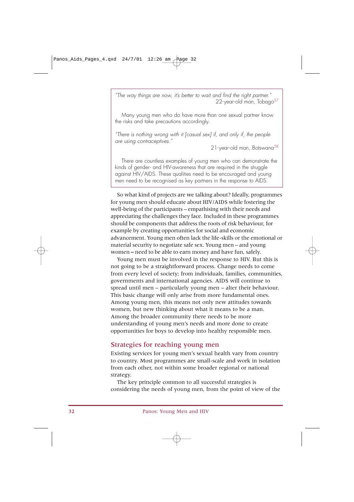*"The way things are now, it's better to wait and find the right partner."*  22-year-old man, Tobago<sup>57</sup>

Many young men who do have more than one sexual partner know the risks and take precautions accordingly.

*"There is nothing wrong with it [casual sex] if, and only if, the people are using contraceptives."*

21-year-old man, Botswana<sup>58</sup>

There are countless examples of young men who can demonstrate the kinds of gender- and HIV-awareness that are required in the struggle against HIV/AIDS. These qualities need to be encouraged and young men need to be recognised as key partners in the response to AIDS.

So what kind of projects are we talking about? Ideally, programmes for young men should educate about HIV/AIDS while fostering the well-being of the participants – empathising with their needs and appreciating the challenges they face. Included in these programmes should be components that address the roots of risk behaviour, for example by creating opportunities for social and economic advancement. Young men often lack the life-skills or the emotional or material security to negotiate safe sex. Young men – and young women **–** need to be able to earn money and have fun, safely.

Young men must be involved in the response to HIV. But this is not going to be a straightforward process. Change needs to come from every level of society; from individuals, families, communities, governments and international agencies. AIDS will continue to spread until men – particularly young men – alter their behaviour. This basic change will only arise from more fundamental ones. Among young men, this means not only new attitudes towards women, but new thinking about what it means to be a man. Among the broader community there needs to be more understanding of young men's needs and more done to create opportunities for boys to develop into healthy responsible men.

## Strategies for reaching young men

Existing services for young men's sexual health vary from country to country. Most programmes are small-scale and work in isolation from each other, not within some broader regional or national strategy.

The key principle common to all successful strategies is considering the needs of young men, from the point of view of the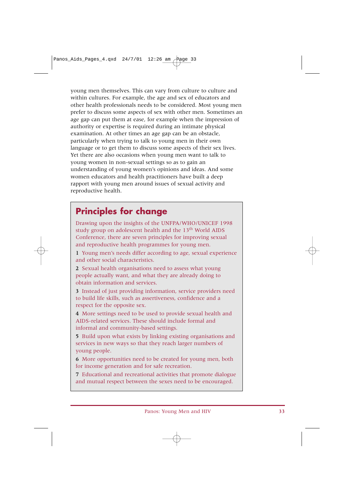young men themselves. This can vary from culture to culture and within cultures. For example, the age and sex of educators and other health professionals needs to be considered. Most young men prefer to discuss some aspects of sex with other men. Sometimes an age gap can put them at ease, for example when the impression of authority or expertise is required during an intimate physical examination. At other times an age gap can be an obstacle, particularly when trying to talk to young men in their own language or to get them to discuss some aspects of their sex lives. Yet there are also occasions when young men want to talk to young women in non-sexual settings so as to gain an understanding of young women's opinions and ideas. And some women educators and health practitioners have built a deep rapport with young men around issues of sexual activity and reproductive health.

## **Principles for change**

Drawing upon the insights of the UNFPA/WHO/UNICEF 1998 study group on adolescent health and the  $13<sup>th</sup>$  World AIDS Conference, there are seven principles for improving sexual and reproductive health programmes for young men.

1 Young men's needs differ according to age, sexual experience and other social characteristics.

2 Sexual health organisations need to assess what young people actually want, and what they are already doing to obtain information and services.

3 Instead of just providing information, service providers need to build life skills, such as assertiveness, confidence and a respect for the opposite sex.

4 More settings need to be used to provide sexual health and AIDS-related services. These should include formal and informal and community-based settings.

5 Build upon what exists by linking existing organisations and services in new ways so that they reach larger numbers of young people.

6 More opportunities need to be created for young men, both for income generation and for safe recreation.

7 Educational and recreational activities that promote dialogue and mutual respect between the sexes need to be encouraged.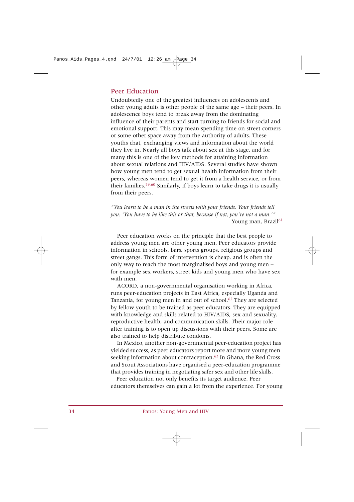## Peer Education

Undoubtedly one of the greatest influences on adolescents and other young adults is other people of the same age – their peers. In adolescence boys tend to break away from the dominating influence of their parents and start turning to friends for social and emotional support. This may mean spending time on street corners or some other space away from the authority of adults. These youths chat, exchanging views and information about the world they live in. Nearly all boys talk about sex at this stage, and for many this is one of the key methods for attaining information about sexual relations and HIV/AIDS. Several studies have shown how young men tend to get sexual health information from their peers, whereas women tend to get it from a health service, or from their families.59,60 Similarly, if boys learn to take drugs it is usually from their peers.

*"You learn to be a man in the streets with your friends. Your friends tell you: 'You have to be like this or that, because if not, you're not a man.'"* Young man, Brazil<sup>61</sup>

Peer education works on the principle that the best people to address young men are other young men. Peer educators provide information in schools, bars, sports groups, religious groups and street gangs. This form of intervention is cheap, and is often the only way to reach the most marginalised boys and young men – for example sex workers, street kids and young men who have sex with men.

ACORD, a non-governmental organisation working in Africa, runs peer-education projects in East Africa, especially Uganda and Tanzania, for young men in and out of school. $62$  They are selected by fellow youth to be trained as peer educators. They are equipped with knowledge and skills related to HIV/AIDS, sex and sexuality, reproductive health, and communication skills. Their major role after training is to open up discussions with their peers. Some are also trained to help distribute condoms.

In Mexico, another non-governmental peer-education project has yielded success, as peer educators report more and more young men seeking information about contraception.<sup>63</sup> In Ghana, the Red Cross and Scout Associations have organised a peer-education programme that provides training in negotiating safer sex and other life skills.

Peer education not only benefits its target audience. Peer educators themselves can gain a lot from the experience. For young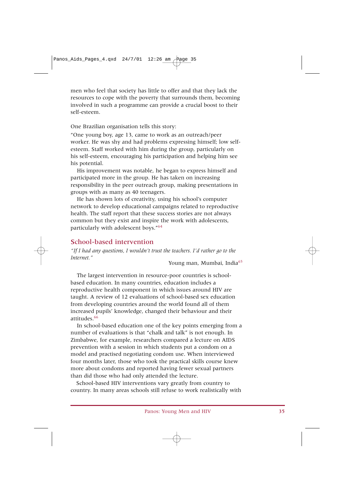men who feel that society has little to offer and that they lack the resources to cope with the poverty that surrounds them, becoming involved in such a programme can provide a crucial boost to their self-esteem.

One Brazilian organisation tells this story:

"One young boy, age 13, came to work as an outreach/peer worker. He was shy and had problems expressing himself; low selfesteem. Staff worked with him during the group, particularly on his self-esteem, encouraging his participation and helping him see his potential.

His improvement was notable, he began to express himself and participated more in the group. He has taken on increasing responsibility in the peer outreach group, making presentations in groups with as many as 40 teenagers.

He has shown lots of creativity, using his school's computer network to develop educational campaigns related to reproductive health. The staff report that these success stories are not always common but they exist and inspire the work with adolescents, particularly with adolescent boys."64

## School-based intervention

*"If I had any questions, I wouldn't trust the teachers. I'd rather go to the Internet."*

Young man, Mumbai, India<sup>65</sup>

The largest intervention in resource-poor countries is schoolbased education. In many countries, education includes a reproductive health component in which issues around HIV are taught. A review of 12 evaluations of school-based sex education from developing countries around the world found all of them increased pupils' knowledge, changed their behaviour and their attitudes.66

In school-based education one of the key points emerging from a number of evaluations is that "chalk and talk" is not enough. In Zimbabwe, for example, researchers compared a lecture on AIDS prevention with a session in which students put a condom on a model and practised negotiating condom use. When interviewed four months later, those who took the practical skills course knew more about condoms and reported having fewer sexual partners than did those who had only attended the lecture.

School-based HIV interventions vary greatly from country to country. In many areas schools still refuse to work realistically with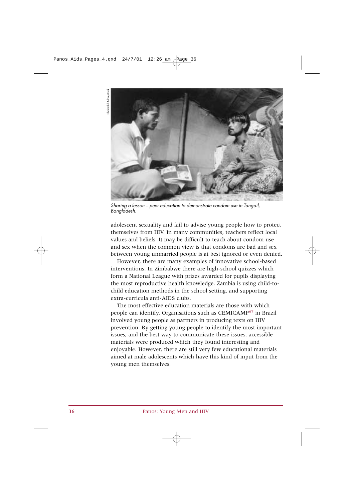

*Sharing a lesson – peer education to demonstrate condom use in Tangail, Bangladesh.*

adolescent sexuality and fail to advise young people how to protect themselves from HIV. In many communities, teachers reflect local values and beliefs. It may be difficult to teach about condom use and sex when the common view is that condoms are bad and sex between young unmarried people is at best ignored or even denied.

However, there are many examples of innovative school-based interventions. In Zimbabwe there are high-school quizzes which form a National League with prizes awarded for pupils displaying the most reproductive health knowledge. Zambia is using child-tochild education methods in the school setting, and supporting extra-curricula anti-AIDS clubs.

The most effective education materials are those with which people can identify. Organisations such as CEMICAMP<sup>67</sup> in Brazil involved young people as partners in producing texts on HIV prevention. By getting young people to identify the most important issues, and the best way to communicate these issues, accessible materials were produced which they found interesting and enjoyable. However, there are still very few educational materials aimed at male adolescents which have this kind of input from the young men themselves.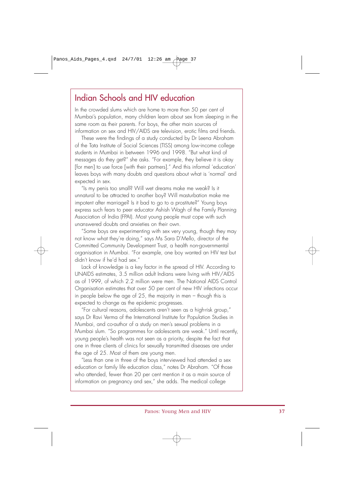## Indian Schools and HIV education

In the crowded slums which are home to more than 50 per cent of Mumbai's population, many children learn about sex from sleeping in the same room as their parents. For boys, the other main sources of information on sex and HIV/AIDS are television, erotic films and friends.

These were the findings of a study conducted by Dr Leena Abraham of the Tata Institute of Social Sciences (TISS) among low-income college students in Mumbai in between 1996 and 1998. "But what kind of messages do they get?" she asks. "For example, they believe it is okay [for men] to use force [with their partners]." And this informal 'education' leaves boys with many doubts and questions about what is 'normal' and expected in sex.

"Is my penis too small? Will wet dreams make me weak? Is it unnatural to be attracted to another boy? Will masturbation make me impotent after marriage? Is it bad to go to a prostitute?" Young boys express such fears to peer educator Ashish Wagh of the Family Planning Association of India (FPAI). Most young people must cope with such unanswered doubts and anxieties on their own.

"Some boys are experimenting with sex very young, though they may not know what they're doing," says Ms Sara D'Mello, director of the Committed Community Development Trust, a health non-governmental organisation in Mumbai. "For example, one boy wanted an HIV test but didn't know if he'd had sex."

Lack of knowledge is a key factor in the spread of HIV. According to UNAIDS estimates, 3.5 million adult Indians were living with HIV/AIDS as of 1999, of which 2.2 million were men. The National AIDS Control Organisation estimates that over 50 per cent of new HIV infections occur in people below the age of 25, the majority in men – though this is expected to change as the epidemic progresses.

"For cultural reasons, adolescents aren't seen as a high-risk group," says Dr Ravi Verma of the International Institute for Population Studies in Mumbai, and co-author of a study on men's sexual problems in a Mumbai slum. "So programmes for adolescents are weak." Until recently, young people's health was not seen as a priority, despite the fact that one in three clients of clinics for sexually transmitted diseases are under the age of 25. Most of them are young men.

"Less than one in three of the boys interviewed had attended a sex education or family life education class," notes Dr Abraham. "Of those who attended, fewer than 20 per cent mention it as a main source of information on pregnancy and sex," she adds. The medical college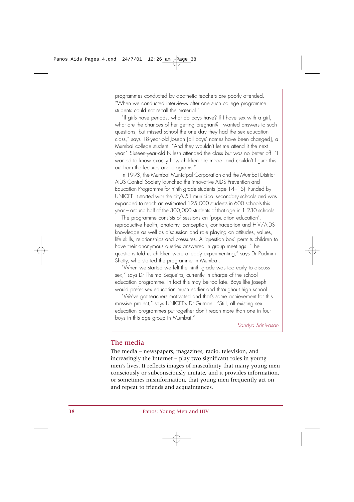programmes conducted by apathetic teachers are poorly attended. "When we conducted interviews after one such college programme, students could not recall the material."

"If girls have periods, what do boys have? If I have sex with a girl, what are the chances of her getting pregnant? I wanted answers to such questions, but missed school the one day they had the sex education class," says 18-year-old Joseph [all boys' names have been changed], a Mumbai college student. "And they wouldn't let me attend it the next year." Sixteen-year-old Nilesh attended the class but was no better off: "I wanted to know exactly how children are made, and couldn't figure this out from the lectures and diagrams."

In 1993, the Mumbai Municipal Corporation and the Mumbai District AIDS Control Society launched the innovative AIDS Prevention and Education Programme for ninth grade students (age 14–15). Funded by UNICEF, it started with the city's 51 municipal secondary schools and was expanded to reach an estimated 125,000 students in 600 schools this year – around half of the 300,000 students of that age in 1,230 schools.

The programme consists of sessions on 'population education', reproductive health, anatomy, conception, contraception and HIV/AIDS knowledge as well as discussion and role playing on attitudes, values, life skills, relationships and pressures. A 'question box' permits children to have their anonymous queries answered in group meetings. "The questions told us children were already experimenting," says Dr Padmini Shetty, who started the programme in Mumbai.

"When we started we felt the ninth grade was too early to discuss sex," says Dr Thelma Sequeira, currently in charge of the school education programme. In fact this may be too late. Boys like Joseph would prefer sex education much earlier and throughout high school.

"We've got teachers motivated and that's some achievement for this massive project," says UNICEF's Dr Gurnani. "Still, all existing sex education programmes put together don't reach more than one in four boys in this age group in Mumbai."

*Sandya Srinivasan*

## The media

The media – newspapers, magazines, radio, television, and increasingly the Internet – play two significant roles in young men's lives. It reflects images of masculinity that many young men consciously or subconsciously imitate, and it provides information, or sometimes misinformation, that young men frequently act on and repeat to friends and acquaintances.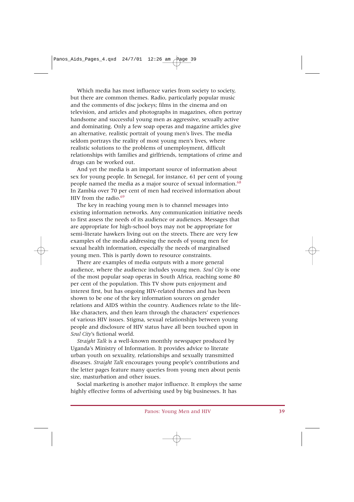Which media has most influence varies from society to society, but there are common themes. Radio, particularly popular music and the comments of disc jockeys; films in the cinema and on television, and articles and photographs in magazines, often portray handsome and successful young men as aggressive, sexually active and dominating. Only a few soap operas and magazine articles give an alternative, realistic portrait of young men's lives. The media seldom portrays the reality of most young men's lives, where realistic solutions to the problems of unemployment, difficult relationships with families and girlfriends, temptations of crime and drugs can be worked out.

And yet the media is an important source of information about sex for young people. In Senegal, for instance, 61 per cent of young people named the media as a major source of sexual information.<sup>68</sup> In Zambia over 70 per cent of men had received information about HIV from the radio.69

The key in reaching young men is to channel messages into existing information networks. Any communication initiative needs to first assess the needs of its audience or audiences. Messages that are appropriate for high-school boys may not be appropriate for semi-literate hawkers living out on the streets. There are very few examples of the media addressing the needs of young men for sexual health information, especially the needs of marginalised young men. This is partly down to resource constraints.

There are examples of media outputs with a more general audience, where the audience includes young men. *Soul City* is one of the most popular soap operas in South Africa, reaching some 80 per cent of the population. This TV show puts enjoyment and interest first, but has ongoing HIV-related themes and has been shown to be one of the key information sources on gender relations and AIDS within the country. Audiences relate to the lifelike characters, and then learn through the characters' experiences of various HIV issues. Stigma, sexual relationships between young people and disclosure of HIV status have all been touched upon in *Soul City*'s fictional world.

*Straight Talk* is a well-known monthly newspaper produced by Uganda's Ministry of Information. It provides advice to literate urban youth on sexuality, relationships and sexually transmitted diseases. *Straight Talk* encourages young people's contributions and the letter pages feature many queries from young men about penis size, masturbation and other issues.

Social marketing is another major influence. It employs the same highly effective forms of advertising used by big businesses. It has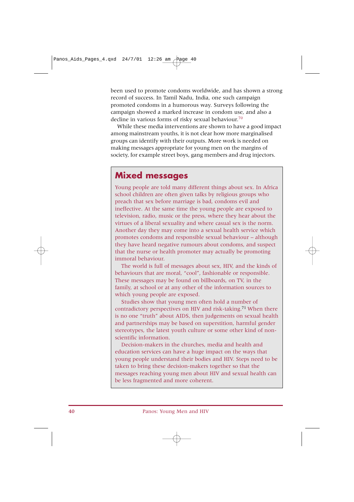been used to promote condoms worldwide, and has shown a strong record of success. In Tamil Nadu, India, one such campaign promoted condoms in a humorous way. Surveys following the campaign showed a marked increase in condom use, and also a decline in various forms of risky sexual behaviour.70

While these media interventions are shown to have a good impact among mainstream youths, it is not clear how more marginalised groups can identify with their outputs. More work is needed on making messages appropriate for young men on the margins of society, for example street boys, gang members and drug injectors.

## **Mixed messages**

Young people are told many different things about sex. In Africa school children are often given talks by religious groups who preach that sex before marriage is bad, condoms evil and ineffective. At the same time the young people are exposed to television, radio, music or the press, where they hear about the virtues of a liberal sexuality and where casual sex is the norm. Another day they may come into a sexual health service which promotes condoms and responsible sexual behaviour – although they have heard negative rumours about condoms, and suspect that the nurse or health promoter may actually be promoting immoral behaviour.

The world is full of messages about sex, HIV, and the kinds of behaviours that are moral, "cool", fashionable or responsible. These messages may be found on billboards, on TV, in the family, at school or at any other of the information sources to which young people are exposed.

Studies show that young men often hold a number of contradictory perspectives on HIV and risk-taking.71 When there is no one "truth" about AIDS, then judgements on sexual health and partnerships may be based on superstition, harmful gender stereotypes, the latest youth culture or some other kind of nonscientific information.

Decision-makers in the churches, media and health and education services can have a huge impact on the ways that young people understand their bodies and HIV. Steps need to be taken to bring these decision-makers together so that the messages reaching young men about HIV and sexual health can be less fragmented and more coherent.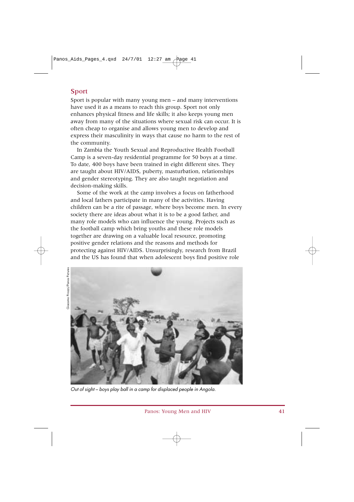## Sport

Sport is popular with many young men – and many interventions have used it as a means to reach this group. Sport not only enhances physical fitness and life skills; it also keeps young men away from many of the situations where sexual risk can occur. It is often cheap to organise and allows young men to develop and express their masculinity in ways that cause no harm to the rest of the community.

In Zambia the Youth Sexual and Reproductive Health Football Camp is a seven-day residential programme for 50 boys at a time. To date, 400 boys have been trained in eight different sites. They are taught about HIV/AIDS, puberty, masturbation, relationships and gender stereotyping. They are also taught negotiation and decision-making skills.

Some of the work at the camp involves a focus on fatherhood and local fathers participate in many of the activities. Having children can be a rite of passage, where boys become men. In every society there are ideas about what it is to be a good father, and many role models who can influence the young. Projects such as the football camp which bring youths and these role models together are drawing on a valuable local resource, promoting positive gender relations and the reasons and methods for protecting against HIV/AIDS. Unsurprisingly, research from Brazil and the US has found that when adolescent boys find positive role



*Out of sight – boys play ball in a camp for displaced people in Angola.*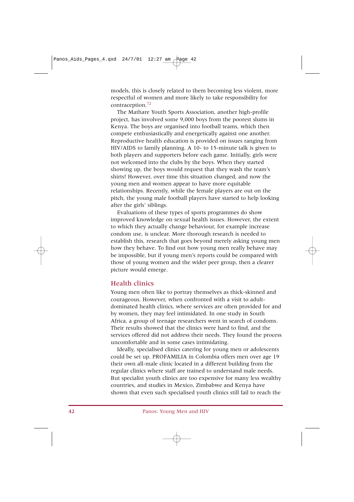models, this is closely related to them becoming less violent, more respectful of women and more likely to take responsibility for contraception.72

The Mathare Youth Sports Association, another high-profile project, has involved some 9,000 boys from the poorest slums in Kenya. The boys are organised into football teams, which then compete enthusiastically and energetically against one another. Reproductive health education is provided on issues ranging from HIV/AIDS to family planning. A 10- to 15-minute talk is given to both players and supporters before each game. Initially, girls were not welcomed into the clubs by the boys. When they started showing up, the boys would request that they wash the team's shirts! However, over time this situation changed, and now the young men and women appear to have more equitable relationships. Recently, while the female players are out on the pitch, the young male football players have started to help looking after the girls' siblings.

Evaluations of these types of sports programmes do show improved knowledge on sexual health issues. However, the extent to which they actually change behaviour, for example increase condom use, is unclear. More thorough research is needed to establish this, research that goes beyond merely asking young men how they behave. To find out how young men really behave may be impossible, but if young men's reports could be compared with those of young women and the wider peer group, then a clearer picture would emerge.

## Health clinics

Young men often like to portray themselves as thick-skinned and courageous. However, when confronted with a visit to adultdominated health clinics, where services are often provided for and by women, they may feel intimidated. In one study in South Africa, a group of teenage researchers went in search of condoms. Their results showed that the clinics were hard to find, and the services offered did not address their needs. They found the process uncomfortable and in some cases intimidating.

Ideally, specialised clinics catering for young men or adolescents could be set up. PROFAMILIA in Colombia offers men over age 19 their own all-male clinic located in a different building from the regular clinics where staff are trained to understand male needs. But specialist youth clinics are too expensive for many less wealthy countries, and studies in Mexico, Zimbabwe and Kenya have shown that even such specialised youth clinics still fail to reach the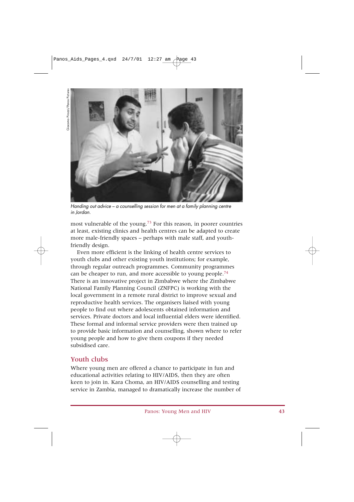

*Handing out advice – a counselling session for men at a family planning centre in Jordan.*

most vulnerable of the young.73 For this reason, in poorer countries at least, existing clinics and health centres can be adapted to create more male-friendly spaces – perhaps with male staff, and youthfriendly design.

Even more efficient is the linking of health centre services to youth clubs and other existing youth institutions; for example, through regular outreach programmes. Community programmes can be cheaper to run, and more accessible to young people.<sup>74</sup> There is an innovative project in Zimbabwe where the Zimbabwe National Family Planning Council (ZNFPC) is working with the local government in a remote rural district to improve sexual and reproductive health services. The organisers liaised with young people to find out where adolescents obtained information and services. Private doctors and local influential elders were identified. These formal and informal service providers were then trained up to provide basic information and counselling, shown where to refer young people and how to give them coupons if they needed subsidised care.

## Youth clubs

Where young men are offered a chance to participate in fun and educational activities relating to HIV/AIDS, then they are often keen to join in. Kara Choma, an HIV/AIDS counselling and testing service in Zambia, managed to dramatically increase the number of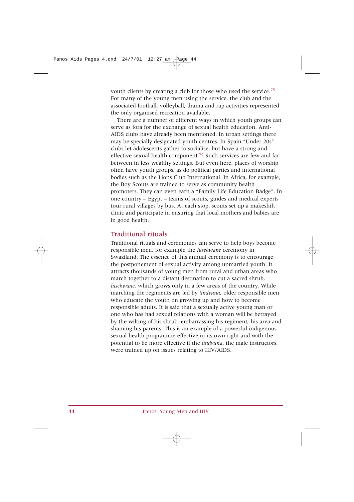youth clients by creating a club for those who used the service.<sup>75</sup> For many of the young men using the service, the club and the associated football, volleyball, drama and rap activities represented the only organised recreation available.

There are a number of different ways in which youth groups can serve as fora for the exchange of sexual health education. Anti-AIDS clubs have already been mentioned. In urban settings there may be specially designated youth centres. In Spain "Under 20s" clubs let adolescents gather to socialise, but have a strong and effective sexual health component.76 Such services are few and far between in less wealthy settings. But even here, places of worship often have youth groups, as do political parties and international bodies such as the Lions Club International. In Africa, for example, the Boy Scouts are trained to serve as community health promoters. They can even earn a "Family Life Education Badge". In one country – Egypt – teams of scouts, guides and medical experts tour rural villages by bus. At each stop, scouts set up a makeshift clinic and participate in ensuring that local mothers and babies are in good health.

### Traditional rituals

Traditional rituals and ceremonies can serve to help boys become responsible men, for example the *lusekwane* ceremony in Swaziland. The essence of this annual ceremony is to encourage the postponement of sexual activity among unmarried youth. It attracts thousands of young men from rural and urban areas who march together to a distant destination to cut a sacred shrub, *lusekwane*, which grows only in a few areas of the country. While marching the regiments are led by *tindvuna*, older responsible men who educate the youth on growing up and how to become responsible adults. It is said that a sexually active young man or one who has had sexual relations with a woman will be betrayed by the wilting of his shrub, embarrassing his regiment, his area and shaming his parents. This is an example of a powerful indigenous sexual health programme effective in its own right and with the potential to be more effective if the *tindvuna*, the male instructors, were trained up on issues relating to HIV/AIDS.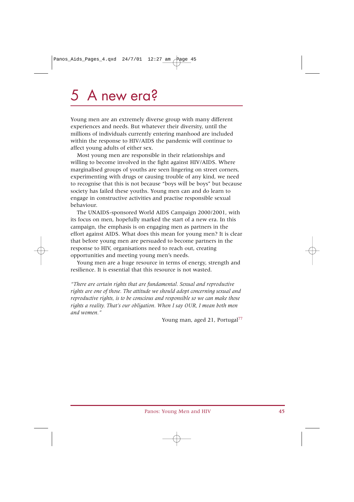# 5 A new era?

Young men are an extremely diverse group with many different experiences and needs. But whatever their diversity, until the millions of individuals currently entering manhood are included within the response to HIV/AIDS the pandemic will continue to affect young adults of either sex.

Most young men are responsible in their relationships and willing to become involved in the fight against HIV/AIDS. Where marginalised groups of youths are seen lingering on street corners, experimenting with drugs or causing trouble of any kind, we need to recognise that this is not because "boys will be boys" but because society has failed these youths. Young men can and do learn to engage in constructive activities and practise responsible sexual behaviour.

The UNAIDS-sponsored World AIDS Campaign 2000/2001, with its focus on men, hopefully marked the start of a new era. In this campaign, the emphasis is on engaging men as partners in the effort against AIDS. What does this mean for young men? It is clear that before young men are persuaded to become partners in the response to HIV, organisations need to reach out, creating opportunities and meeting young men's needs.

Young men are a huge resource in terms of energy, strength and resilience. It is essential that this resource is not wasted.

*"There are certain rights that are fundamental. Sexual and reproductive rights are one of those. The attitude we should adopt concerning sexual and reproductive rights, is to be conscious and responsible so we can make those rights a reality. That's our obligation. When I say OUR, I mean both men and women."* 

Young man, aged 21, Portugal<sup>77</sup>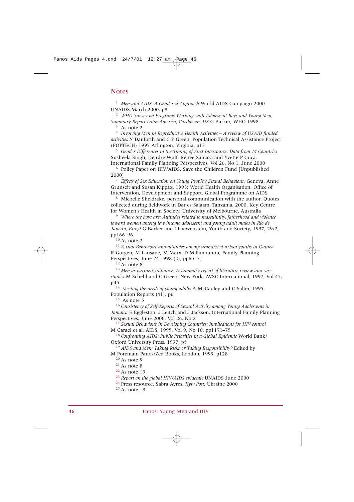#### **Notes**

<sup>1</sup> *Men and AIDS, A Gendered Approach* World AIDS Campaign 2000 UNAIDS March 2000, p8

<sup>2</sup> *WHO Survey on Programs Working with Adolescent Boys and Young Men, Summary Report Latin America, Caribbean, US* G Barker, WHO 1998

 $3$  As note 2

<sup>4</sup> *Involving Men in Reproductive Health Activities – A review of USAID funded activities* N Danforth and C P Green, Population Technical Assistance Project (POPTECH) 1997 Arlington, Virginia, p13

<sup>5</sup> *Gender Differences in the Timing of First Intercourse: Data from 14 Countries* Susheela Singh, Deirdre Wulf, Renee Samara and Yvette P Cuca, International Family Planning Perspectives, Vol 26, No 1, June 2000

<sup>6</sup> Policy Paper on HIV/AIDS, Save the Children Fund [Unpublished 2000]

<sup>7</sup> *Effects of Sex Education on Young People's Sexual Behaviour.* Geneva, Anne Grunseit and Susan Kippax, 1993: World Health Organisation, Office of Intervention, Development and Support, Global Programme on AIDS

<sup>8</sup> Michelle Sheldrake, personal communication with the author. Quotes collected during fieldwork in Dar es Salaam, Tanzania, 2000, Key Centre for Women's Health in Society, University of Melbourne, Australia

<sup>9</sup> *Where the boys are: Attitudes related to masculinity, fatherhood and violence toward women among low income adolescent and young adult males in Rio de Janeiro, Brazil* G Barker and I Loewenstein, Youth and Society, 1997, 29/2, pp166–96

 $10$  As note 2

<sup>11</sup> *Sexual Behaviour and attitudes among unmarried urban youths in Guinea* R Gorgen, M Lansane, M Marx, D Millimounou, Family Planning Perspectives, June 24 1998 (2), pp65–71

 $12$  As note 8

<sup>13</sup> *Men as partners initiative: A summary report of literature review and case studies* M Schehl and C Green, New York, AVSC International, 1997, Vol 45, p4514 *Meeting the needs of young adults* A McCauley and C Salter, 1995,

Population Reports  $(41)$ , p6<br><sup>15</sup> As note 5

<sup>16</sup> *Consistency of Self-Reports of Sexual Activity among Young Adolescents in Jamaica* E Eggleston, J Leitch and J Jackson, International Family Planning Perspectives, June 2000, Vol 26, No 2

<sup>17</sup> *Sexual Behaviour in Developing Countries: Implications for HIV control* M Carael et al, AIDS, 1995, Vol 9, No 10, pp1171–75

<sup>18</sup> *Confronting AIDS: Public Priorities in a Global Epidemic* World Bank/ Oxford University Press, 1997, p5

<sup>19</sup> *AIDS and Men: Taking Risks or Taking Responsibility?* Edited by M Foreman, Panos/Zed Books, London, 1999, p128

 $20$  As note 9

 $21$  As note 8

 $22$  As note 19

<sup>23</sup> *Report on the global HIV/AIDS epidemic* UNAIDS June 2000

<sup>24</sup> Press resource, Sabra Ayres, *Kyiv Post*, Ukraine 2000

 $25$  As note 19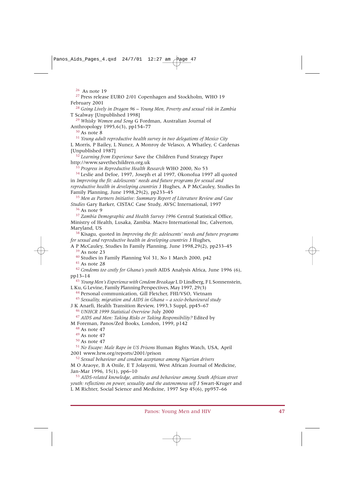<sup>26</sup> As note 19<br><sup>27</sup> Press release EURO 2/01 Copenhagen and Stockholm, WHO 19<br>February 2001

<sup>28</sup> Going Lively in Dragon 96 – Young Men, Poverty and sexual risk in Zambia T Scalway [Unpublished 1998]

<sup>29</sup> *Whisky Women and Song* G Fordman, Australian Journal of Anthropology 1995,6(3), pp154–77

 $30$  As note 8

<sup>31</sup> *Young adult reproductive health survey in two delegations of Mexico City*  L Morris, P Bailey, L Nunez, A Monroy de Velasco, A Whatley, C Cardenas [Unpublished 1987]

<sup>32</sup> *Learning from Experience* Save the Children Fund Strategy Paper http://www.savethechildren.org.uk

<sup>33</sup> *Progress in Reproductive Health Research* WHO 2000, No 53

<sup>34</sup> Leslie and Defoe, 1997, Joseph et al 1997, Okonofua 1997 all quoted in *Improving the fit: adolescents' needs and future programs for sexual and reproductive health in developing countries* J Hughes, A P McCauley, Studies In Family Planning, June 1998,29(2), pp233–45

<sup>35</sup> *Men as Partners Initiative: Summary Report of Literature Review and Case Studies* Gary Barker, CISTAC Case Study, AVSC International, 1997

 $36$  As note 9

<sup>37</sup> *Zambia Demographic and Health Survey 1996* Central Statistical Office, Ministry of Health, Lusaka, Zambia. Macro International Inc, Calverton, Maryland, US

<sup>38</sup> Kisagu, quoted in *Improving the fit: adolescents' needs and future programs for sexual and reproductive health in developing countries* J Hughes,

- A P McCauley, Studies In Family Planning, June 1998,29(2), pp233–45 <sup>39</sup> As note 23
	- <sup>40</sup> Studies in Family Planning Vol 31, No 1 March 2000, p42

<sup>41</sup> As note 28

<sup>42</sup> *Condoms too costly for Ghana's youth* AIDS Analysis Africa, June 1996 (6), pp13–14

<sup>43</sup> *Young Men's Experience with Condom Breakage* L D Lindberg, F L Sonnenstein,

L Ku, G Levine, Family Planning Perspectives, May 1997, 29(3)

<sup>44</sup> Personal communication, Gill Fletcher, FHI/VSO, Vietnam

<sup>45</sup> *Sexuality, migration and AIDS in Ghana – a socio-behavioural study* 

- J K Anarfi, Health Transition Review, 1993,3 Suppl, pp45–67
	- <sup>46</sup> *UNHCR 1999 Statistical Overview* July 2000

<sup>47</sup> *AIDS and Men: Taking Risks or Taking Responsibility?* Edited by

M Foreman, Panos/Zed Books, London, 1999, p142

<sup>48</sup> As note 47

 $49$  As note 47

<sup>50</sup> As note 47

<sup>51</sup> *No Escape: Male Rape in US Prisons* Human Rights Watch, USA, April 2001 www.hrw.org/reports/2001/prison

<sup>52</sup> *Sexual behaviour and condom acceptance among Nigerian drivers* M O Araoye, B A Onile, E T Jolayemi, West African Journal of Medicine, Jan-Mar 1996, 15(1), pp6–10

<sup>53</sup> *AIDS-related knowledge, attitudes and behaviour among South African street youth: reflections on power, sexuality and the autonomous self* J Swart-Kruger and L M Richter, Social Science and Medicine, 1997 Sep 45(6), pp957–66